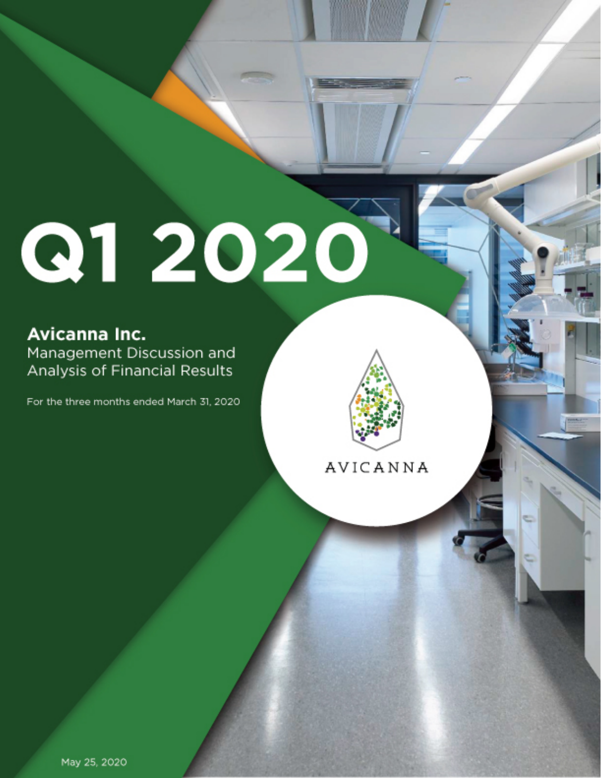Q1 2020

# Avicanna Inc.

Management Discussion and Analysis of Financial Results

For the three months ended March 31, 2020



AVICANNA

May 25, 2020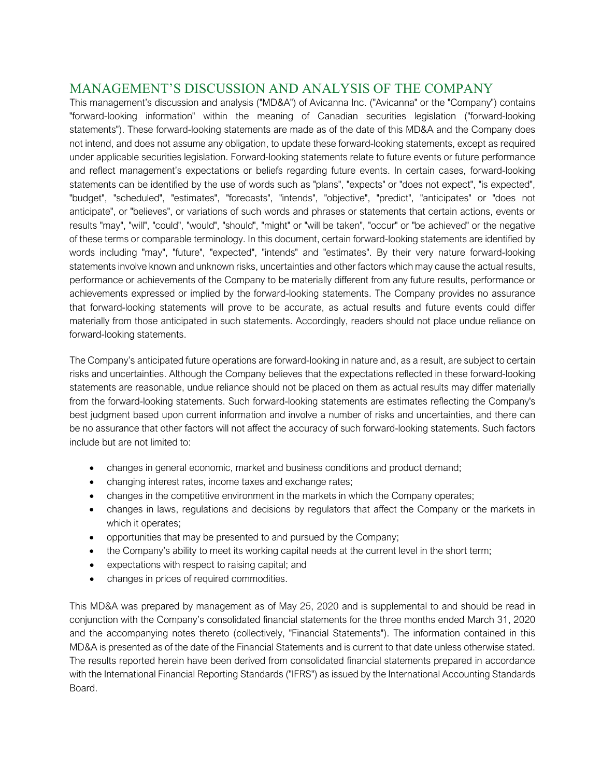# MANAGEMENT'S DISCUSSION AND ANALYSIS OF THE COMPANY

This management's discussion and analysis ("MD&A") of Avicanna Inc. ("Avicanna" or the "Company") contains "forward-looking information" within the meaning of Canadian securities legislation ("forward-looking statements"). These forward-looking statements are made as of the date of this MD&A and the Company does not intend, and does not assume any obligation, to update these forward-looking statements, except as required under applicable securities legislation. Forward-looking statements relate to future events or future performance and reflect management's expectations or beliefs regarding future events. In certain cases, forward-looking statements can be identified by the use of words such as "plans", "expects" or "does not expect", "is expected", "budget", "scheduled", "estimates", "forecasts", "intends", "objective", "predict", "anticipates" or "does not anticipate", or "believes", or variations of such words and phrases or statements that certain actions, events or results "may", "will", "could", "would", "should", "might" or "will be taken", "occur" or "be achieved" or the negative of these terms or comparable terminology. In this document, certain forward-looking statements are identified by words including "may", "future", "expected", "intends" and "estimates". By their very nature forward-looking statements involve known and unknown risks, uncertainties and other factors which may cause the actual results, performance or achievements of the Company to be materially different from any future results, performance or achievements expressed or implied by the forward-looking statements. The Company provides no assurance that forward-looking statements will prove to be accurate, as actual results and future events could differ materially from those anticipated in such statements. Accordingly, readers should not place undue reliance on forward-looking statements.

The Company's anticipated future operations are forward-looking in nature and, as a result, are subject to certain risks and uncertainties. Although the Company believes that the expectations reflected in these forward-looking statements are reasonable, undue reliance should not be placed on them as actual results may differ materially from the forward-looking statements. Such forward-looking statements are estimates reflecting the Company's best judgment based upon current information and involve a number of risks and uncertainties, and there can be no assurance that other factors will not affect the accuracy of such forward-looking statements. Such factors include but are not limited to:

- changes in general economic, market and business conditions and product demand;
- changing interest rates, income taxes and exchange rates;
- changes in the competitive environment in the markets in which the Company operates;
- changes in laws, regulations and decisions by regulators that affect the Company or the markets in which it operates;
- opportunities that may be presented to and pursued by the Company;
- the Company's ability to meet its working capital needs at the current level in the short term;
- expectations with respect to raising capital; and
- changes in prices of required commodities.

This MD&A was prepared by management as of May 25, 2020 and is supplemental to and should be read in conjunction with the Company's consolidated financial statements for the three months ended March 31, 2020 and the accompanying notes thereto (collectively, "Financial Statements"). The information contained in this MD&A is presented as of the date of the Financial Statements and is current to that date unless otherwise stated. The results reported herein have been derived from consolidated financial statements prepared in accordance with the International Financial Reporting Standards ("IFRS") as issued by the International Accounting Standards Board.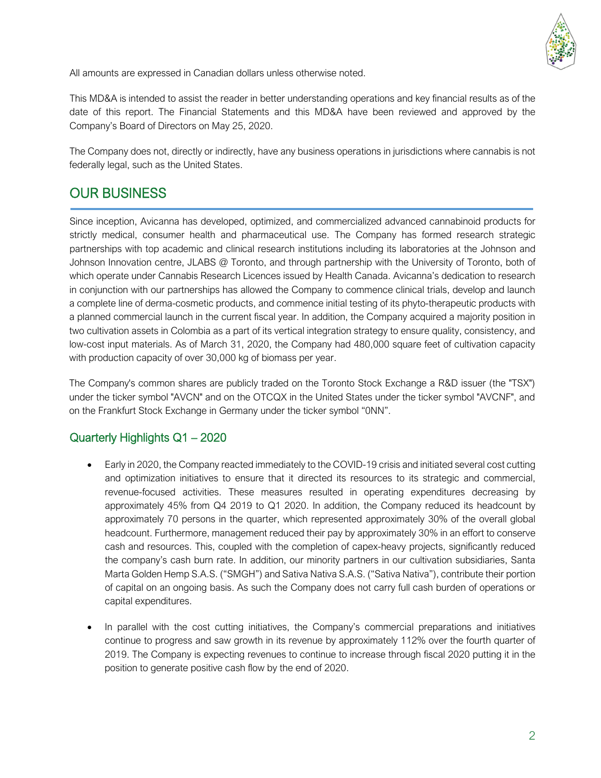

All amounts are expressed in Canadian dollars unless otherwise noted.

This MD&A is intended to assist the reader in better understanding operations and key financial results as of the date of this report. The Financial Statements and this MD&A have been reviewed and approved by the Company's Board of Directors on May 25, 2020.

The Company does not, directly or indirectly, have any business operations in jurisdictions where cannabis is not federally legal, such as the United States.

# OUR BUSINESS

Since inception, Avicanna has developed, optimized, and commercialized advanced cannabinoid products for strictly medical, consumer health and pharmaceutical use. The Company has formed research strategic partnerships with top academic and clinical research institutions including its laboratories at the Johnson and Johnson Innovation centre, JLABS @ Toronto, and through partnership with the University of Toronto, both of which operate under Cannabis Research Licences issued by Health Canada. Avicanna's dedication to research in conjunction with our partnerships has allowed the Company to commence clinical trials, develop and launch a complete line of derma-cosmetic products, and commence initial testing of its phyto-therapeutic products with a planned commercial launch in the current fiscal year. In addition, the Company acquired a majority position in two cultivation assets in Colombia as a part of its vertical integration strategy to ensure quality, consistency, and low-cost input materials. As of March 31, 2020, the Company had 480,000 square feet of cultivation capacity with production capacity of over 30,000 kg of biomass per year.

The Company's common shares are publicly traded on the Toronto Stock Exchange a R&D issuer (the "TSX") under the ticker symbol "AVCN" and on the OTCQX in the United States under the ticker symbol "AVCNF", and on the Frankfurt Stock Exchange in Germany under the ticker symbol "0NN".

# Quarterly Highlights Q1 – 2020

- Early in 2020, the Company reacted immediately to the COVID-19 crisis and initiated several cost cutting and optimization initiatives to ensure that it directed its resources to its strategic and commercial, revenue-focused activities. These measures resulted in operating expenditures decreasing by approximately 45% from Q4 2019 to Q1 2020. In addition, the Company reduced its headcount by approximately 70 persons in the quarter, which represented approximately 30% of the overall global headcount. Furthermore, management reduced their pay by approximately 30% in an effort to conserve cash and resources. This, coupled with the completion of capex-heavy projects, significantly reduced the company's cash burn rate. In addition, our minority partners in our cultivation subsidiaries, Santa Marta Golden Hemp S.A.S. ("SMGH") and Sativa Nativa S.A.S. ("Sativa Nativa"), contribute their portion of capital on an ongoing basis. As such the Company does not carry full cash burden of operations or capital expenditures.
- In parallel with the cost cutting initiatives, the Company's commercial preparations and initiatives continue to progress and saw growth in its revenue by approximately 112% over the fourth quarter of 2019. The Company is expecting revenues to continue to increase through fiscal 2020 putting it in the position to generate positive cash flow by the end of 2020.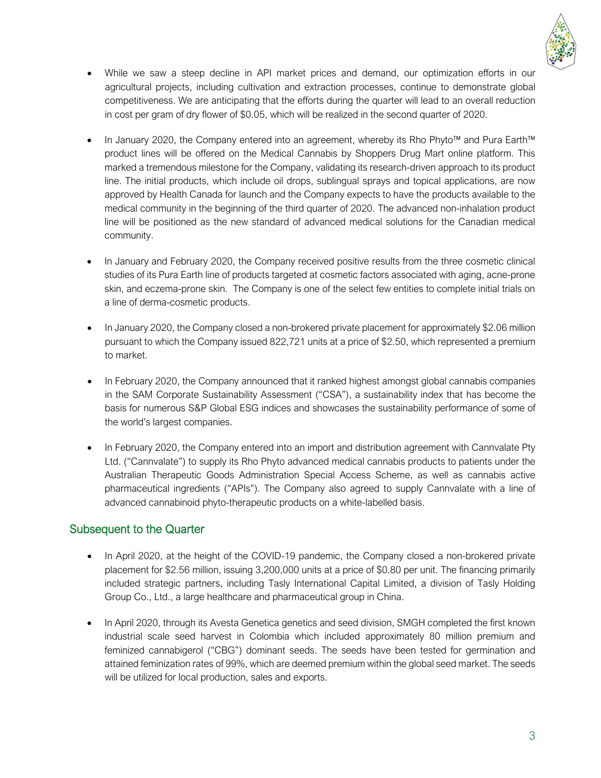

- While we saw a steep decline in API market prices and demand, our optimization efforts in our agricultural projects, including cultivation and extraction processes, continue to demonstrate global competitiveness. We are anticipating that the efforts during the quarter will lead to an overall reduction in cost per gram of dry flower of \$0.05, which will be realized in the second quarter of 2020.
- In January 2020, the Company entered into an agreement, whereby its Rho Phyto™ and Pura Earth™ product lines will be offered on the Medical Cannabis by Shoppers Drug Mart online platform. This marked a tremendous milestone for the Company, validating its research-driven approach to its product line. The initial products, which include oil drops, sublingual sprays and topical applications, are now approved by Health Canada for launch and the Company expects to have the products available to the medical community in the beginning of the third quarter of 2020. The advanced non-inhalation product line will be positioned as the new standard of advanced medical solutions for the Canadian medical community.
- In January and February 2020, the Company received positive results from the three cosmetic clinical studies of its Pura Earth line of products targeted at cosmetic factors associated with aging, acne-prone skin, and eczema-prone skin. The Company is one of the select few entities to complete initial trials on a line of derma-cosmetic products.
- In January 2020, the Company closed a non-brokered private placement for approximately \$2.06 million pursuant to which the Company issued 822,721 units at a price of \$2.50, which represented a premium to market.
- In February 2020, the Company announced that it ranked highest amongst global cannabis companies in the SAM Corporate Sustainability Assessment ("CSA"), a sustainability index that has become the basis for numerous S&P Global ESG indices and showcases the sustainability performance of some of the world's largest companies.
- In February 2020, the Company entered into an import and distribution agreement with Cannvalate Pty Ltd. ("Cannvalate") to supply its Rho Phyto advanced medical cannabis products to patients under the Australian Therapeutic Goods Administration Special Access Scheme, as well as cannabis active pharmaceutical ingredients ("APIs"). The Company also agreed to supply Cannvalate with a line of advanced cannabinoid phyto-therapeutic products on a white-labelled basis.

# Subsequent to the Quarter

- In April 2020, at the height of the COVID-19 pandemic, the Company closed a non-brokered private placement for \$2.56 million, issuing 3,200,000 units at a price of \$0.80 per unit. The financing primarily included strategic partners, including Tasly International Capital Limited, a division of Tasly Holding Group Co., Ltd., a large healthcare and pharmaceutical group in China.
- In April 2020, through its Avesta Genetica genetics and seed division, SMGH completed the first known industrial scale seed harvest in Colombia which included approximately 80 million premium and feminized cannabigerol ("CBG") dominant seeds. The seeds have been tested for germination and attained feminization rates of 99%, which are deemed premium within the global seed market. The seeds will be utilized for local production, sales and exports.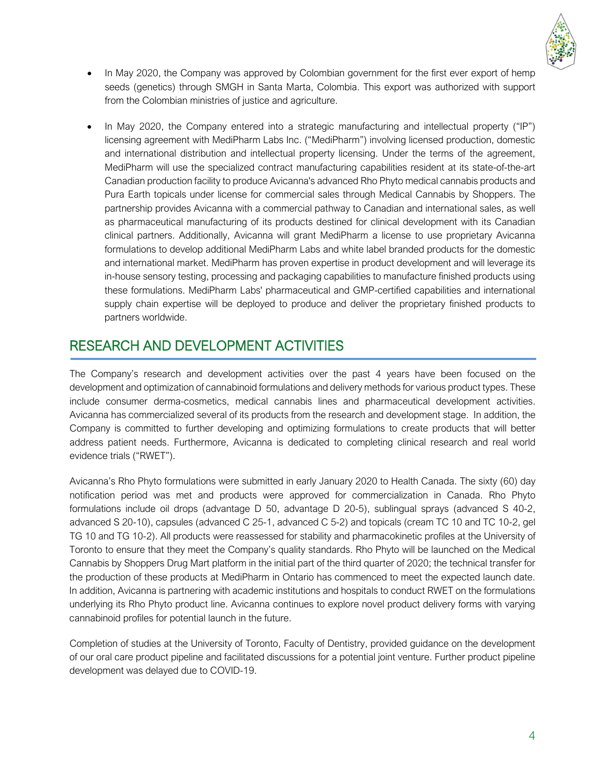

- In May 2020, the Company was approved by Colombian government for the first ever export of hemp seeds (genetics) through SMGH in Santa Marta, Colombia. This export was authorized with support from the Colombian ministries of justice and agriculture.
- In May 2020, the Company entered into a strategic manufacturing and intellectual property ("IP") licensing agreement with MediPharm Labs Inc. ("MediPharm") involving licensed production, domestic and international distribution and intellectual property licensing. Under the terms of the agreement, MediPharm will use the specialized contract manufacturing capabilities resident at its state-of-the-art Canadian production facility to produce Avicanna's advanced Rho Phyto medical cannabis products and Pura Earth topicals under license for commercial sales through Medical Cannabis by Shoppers. The partnership provides Avicanna with a commercial pathway to Canadian and international sales, as well as pharmaceutical manufacturing of its products destined for clinical development with its Canadian clinical partners. Additionally, Avicanna will grant MediPharm a license to use proprietary Avicanna formulations to develop additional MediPharm Labs and white label branded products for the domestic and international market. MediPharm has proven expertise in product development and will leverage its in-house sensory testing, processing and packaging capabilities to manufacture finished products using these formulations. MediPharm Labs' pharmaceutical and GMP-certified capabilities and international supply chain expertise will be deployed to produce and deliver the proprietary finished products to partners worldwide.

# RESEARCH AND DEVELOPMENT ACTIVITIES

The Company's research and development activities over the past 4 years have been focused on the development and optimization of cannabinoid formulations and delivery methods for various product types. These include consumer derma-cosmetics, medical cannabis lines and pharmaceutical development activities. Avicanna has commercialized several of its products from the research and development stage. In addition, the Company is committed to further developing and optimizing formulations to create products that will better address patient needs. Furthermore, Avicanna is dedicated to completing clinical research and real world evidence trials ("RWET").

Avicanna's Rho Phyto formulations were submitted in early January 2020 to Health Canada. The sixty (60) day notification period was met and products were approved for commercialization in Canada. Rho Phyto formulations include oil drops (advantage D 50, advantage D 20-5), sublingual sprays (advanced S 40-2, advanced S 20-10), capsules (advanced C 25-1, advanced C 5-2) and topicals (cream TC 10 and TC 10-2, gel TG 10 and TG 10-2). All products were reassessed for stability and pharmacokinetic profiles at the University of Toronto to ensure that they meet the Company's quality standards. Rho Phyto will be launched on the Medical Cannabis by Shoppers Drug Mart platform in the initial part of the third quarter of 2020; the technical transfer for the production of these products at MediPharm in Ontario has commenced to meet the expected launch date. In addition, Avicanna is partnering with academic institutions and hospitals to conduct RWET on the formulations underlying its Rho Phyto product line. Avicanna continues to explore novel product delivery forms with varying cannabinoid profiles for potential launch in the future.

Completion of studies at the University of Toronto, Faculty of Dentistry, provided guidance on the development of our oral care product pipeline and facilitated discussions for a potential joint venture. Further product pipeline development was delayed due to COVID-19.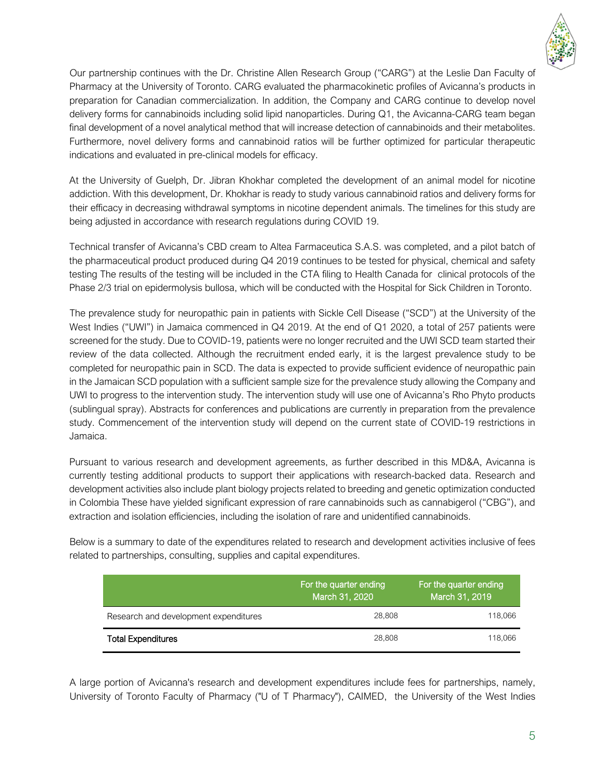

Our partnership continues with the Dr. Christine Allen Research Group ("CARG") at the Leslie Dan Faculty of Pharmacy at the University of Toronto. CARG evaluated the pharmacokinetic profiles of Avicanna's products in preparation for Canadian commercialization. In addition, the Company and CARG continue to develop novel delivery forms for cannabinoids including solid lipid nanoparticles. During Q1, the Avicanna-CARG team began final development of a novel analytical method that will increase detection of cannabinoids and their metabolites. Furthermore, novel delivery forms and cannabinoid ratios will be further optimized for particular therapeutic indications and evaluated in pre-clinical models for efficacy.

At the University of Guelph, Dr. Jibran Khokhar completed the development of an animal model for nicotine addiction. With this development, Dr. Khokhar is ready to study various cannabinoid ratios and delivery forms for their efficacy in decreasing withdrawal symptoms in nicotine dependent animals. The timelines for this study are being adjusted in accordance with research regulations during COVID 19.

Technical transfer of Avicanna's CBD cream to Altea Farmaceutica S.A.S. was completed, and a pilot batch of the pharmaceutical product produced during Q4 2019 continues to be tested for physical, chemical and safety testing The results of the testing will be included in the CTA filing to Health Canada for clinical protocols of the Phase 2/3 trial on epidermolysis bullosa, which will be conducted with the Hospital for Sick Children in Toronto.

The prevalence study for neuropathic pain in patients with Sickle Cell Disease ("SCD") at the University of the West Indies ("UWI") in Jamaica commenced in Q4 2019. At the end of Q1 2020, a total of 257 patients were screened for the study. Due to COVID-19, patients were no longer recruited and the UWI SCD team started their review of the data collected. Although the recruitment ended early, it is the largest prevalence study to be completed for neuropathic pain in SCD. The data is expected to provide sufficient evidence of neuropathic pain in the Jamaican SCD population with a sufficient sample size for the prevalence study allowing the Company and UWI to progress to the intervention study. The intervention study will use one of Avicanna's Rho Phyto products (sublingual spray). Abstracts for conferences and publications are currently in preparation from the prevalence study. Commencement of the intervention study will depend on the current state of COVID-19 restrictions in Jamaica.

Pursuant to various research and development agreements, as further described in this MD&A, Avicanna is currently testing additional products to support their applications with research-backed data. Research and development activities also include plant biology projects related to breeding and genetic optimization conducted in Colombia These have yielded significant expression of rare cannabinoids such as cannabigerol ("CBG"), and extraction and isolation efficiencies, including the isolation of rare and unidentified cannabinoids.

Below is a summary to date of the expenditures related to research and development activities inclusive of fees related to partnerships, consulting, supplies and capital expenditures.

|                                       | For the quarter ending<br>March 31, 2020 | For the quarter ending<br>March 31, 2019 |
|---------------------------------------|------------------------------------------|------------------------------------------|
| Research and development expenditures | 28.808                                   | 118.066                                  |
| <b>Total Expenditures</b>             | 28.808                                   | 118.066                                  |

A large portion of Avicanna's research and development expenditures include fees for partnerships, namely, University of Toronto Faculty of Pharmacy ("U of T Pharmacy"), CAIMED, the University of the West Indies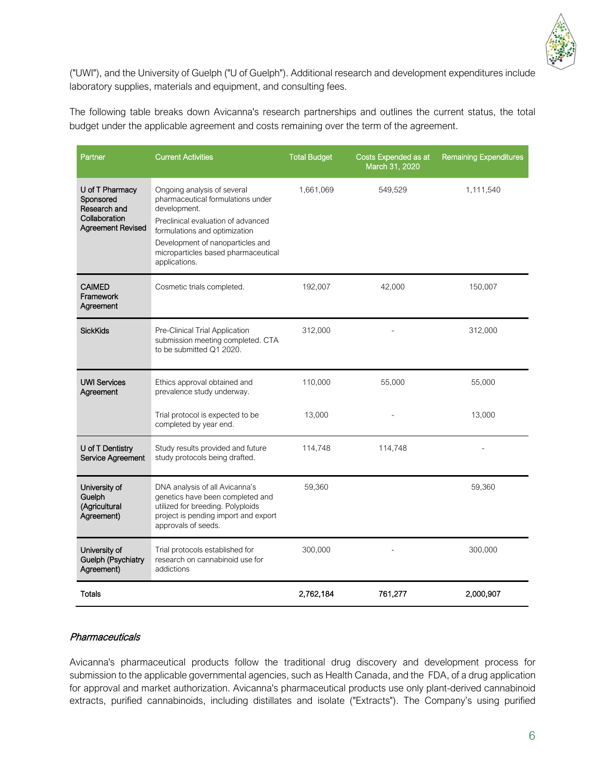

("UWI"), and the University of Guelph ("U of Guelph"). Additional research and development expenditures include laboratory supplies, materials and equipment, and consulting fees.

The following table breaks down Avicanna's research partnerships and outlines the current status, the total budget under the applicable agreement and costs remaining over the term of the agreement.

| Partner                                                                                   | <b>Current Activities</b>                                                                                                                                                                                                                           | <b>Total Budget</b> | Costs Expended as at<br>March 31, 2020 | <b>Remaining Expenditures</b> |
|-------------------------------------------------------------------------------------------|-----------------------------------------------------------------------------------------------------------------------------------------------------------------------------------------------------------------------------------------------------|---------------------|----------------------------------------|-------------------------------|
| U of T Pharmacy<br>Sponsored<br>Research and<br>Collaboration<br><b>Agreement Revised</b> | Ongoing analysis of several<br>pharmaceutical formulations under<br>development.<br>Preclinical evaluation of advanced<br>formulations and optimization<br>Development of nanoparticles and<br>microparticles based pharmaceutical<br>applications. | 1,661,069           | 549,529                                | 1,111,540                     |
| <b>CAIMED</b><br>Framework<br>Agreement                                                   | Cosmetic trials completed.                                                                                                                                                                                                                          | 192,007             | 42,000                                 | 150,007                       |
| <b>SickKids</b>                                                                           | Pre-Clinical Trial Application<br>submission meeting completed. CTA<br>to be submitted Q1 2020.                                                                                                                                                     | 312,000             |                                        | 312,000                       |
| <b>UWI Services</b><br>Agreement                                                          | Ethics approval obtained and<br>prevalence study underway.                                                                                                                                                                                          | 110,000             | 55,000                                 | 55,000                        |
|                                                                                           | Trial protocol is expected to be<br>completed by year end.                                                                                                                                                                                          | 13,000              |                                        | 13,000                        |
| U of T Dentistry<br>Service Agreement                                                     | Study results provided and future<br>study protocols being drafted.                                                                                                                                                                                 | 114,748             | 114,748                                |                               |
| University of<br>Guelph<br>(Agricultural<br>Agreement)                                    | DNA analysis of all Avicanna's<br>genetics have been completed and<br>utilized for breeding. Polyploids<br>project is pending import and export<br>approvals of seeds.                                                                              | 59,360              |                                        | 59,360                        |
| University of<br>Guelph (Psychiatry<br>Agreement)                                         | Trial protocols established for<br>research on cannabinoid use for<br>addictions                                                                                                                                                                    | 300,000             |                                        | 300,000                       |
| Totals                                                                                    |                                                                                                                                                                                                                                                     | 2,762,184           | 761,277                                | 2,000,907                     |

#### **Pharmaceuticals**

Avicanna's pharmaceutical products follow the traditional drug discovery and development process for submission to the applicable governmental agencies, such as Health Canada, and the FDA, of a drug application for approval and market authorization. Avicanna's pharmaceutical products use only plant-derived cannabinoid extracts, purified cannabinoids, including distillates and isolate ("Extracts"). The Company's using purified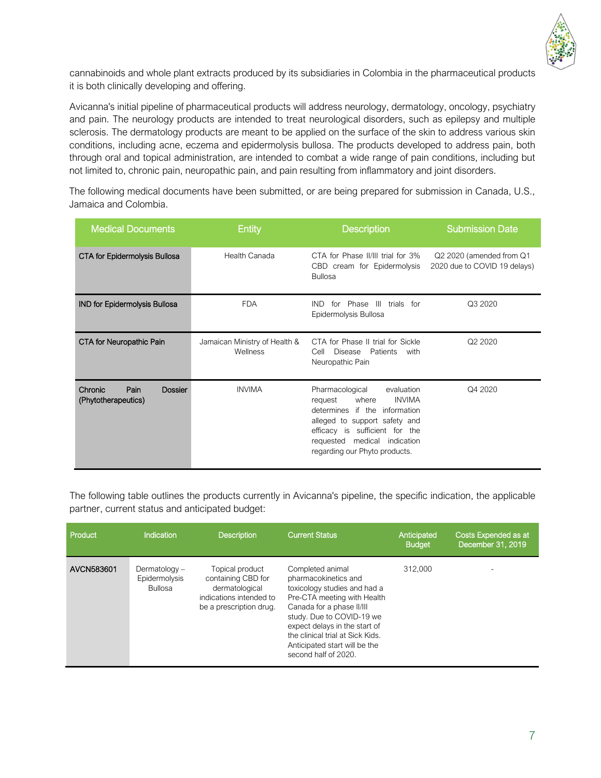

cannabinoids and whole plant extracts produced by its subsidiaries in Colombia in the pharmaceutical products it is both clinically developing and offering.

Avicanna's initial pipeline of pharmaceutical products will address neurology, dermatology, oncology, psychiatry and pain. The neurology products are intended to treat neurological disorders, such as epilepsy and multiple sclerosis. The dermatology products are meant to be applied on the surface of the skin to address various skin conditions, including acne, eczema and epidermolysis bullosa. The products developed to address pain, both through oral and topical administration, are intended to combat a wide range of pain conditions, including but not limited to, chronic pain, neuropathic pain, and pain resulting from inflammatory and joint disorders.

The following medical documents have been submitted, or are being prepared for submission in Canada, U.S., Jamaica and Colombia.

| <b>Medical Documents</b>                                 | <b>Entity</b>                             | <b>Description</b>                                                                                                                                                                                                                         | <b>Submission Date</b>                                   |
|----------------------------------------------------------|-------------------------------------------|--------------------------------------------------------------------------------------------------------------------------------------------------------------------------------------------------------------------------------------------|----------------------------------------------------------|
| CTA for Epidermolysis Bullosa                            | Health Canada                             | CTA for Phase II/III trial for 3%<br>CBD cream for Epidermolysis<br><b>Bullosa</b>                                                                                                                                                         | Q2 2020 (amended from Q1<br>2020 due to COVID 19 delays) |
| <b>IND for Epidermolysis Bullosa</b>                     | <b>FDA</b>                                | Phase III<br>trials for<br><b>IND</b><br>for<br>Epidermolysis Bullosa                                                                                                                                                                      | Q3 2020                                                  |
| <b>CTA for Neuropathic Pain</b>                          | Jamaican Ministry of Health &<br>Wellness | CTA for Phase II trial for Sickle<br>Disease<br>Patients<br>Cell<br>with<br>Neuropathic Pain                                                                                                                                               | Q2 2020                                                  |
| Pain<br>Chronic<br><b>Dossier</b><br>(Phytotherapeutics) | <b>INVIMA</b>                             | Pharmacological<br>evaluation<br><b>INVIMA</b><br>where<br>request<br>determines if the<br>information<br>alleged to support safety and<br>efficacy is sufficient for the<br>requested medical indication<br>regarding our Phyto products. | Q4 2020                                                  |

The following table outlines the products currently in Avicanna's pipeline, the specific indication, the applicable partner, current status and anticipated budget:

| Product    | Indication                                         | <b>Description</b>                                                                                            | <b>Current Status</b>                                                                                                                                                                                                                                                                           | Anticipated<br><b>Budget</b> | Costs Expended as at<br>December 31, 2019 |
|------------|----------------------------------------------------|---------------------------------------------------------------------------------------------------------------|-------------------------------------------------------------------------------------------------------------------------------------------------------------------------------------------------------------------------------------------------------------------------------------------------|------------------------------|-------------------------------------------|
| AVCN583601 | Dermatology $-$<br>Epidermolysis<br><b>Bullosa</b> | Topical product<br>containing CBD for<br>dermatological<br>indications intended to<br>be a prescription drug. | Completed animal<br>pharmacokinetics and<br>toxicology studies and had a<br>Pre-CTA meeting with Health<br>Canada for a phase II/III<br>study. Due to COVID-19 we<br>expect delays in the start of<br>the clinical trial at Sick Kids.<br>Anticipated start will be the<br>second half of 2020. | 312.000                      |                                           |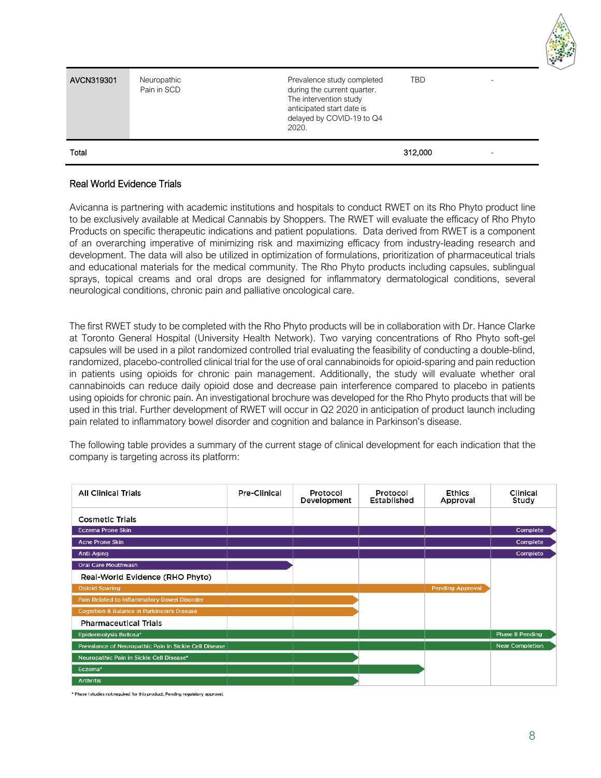

| AVCN319301 | Neuropathic<br>Pain in SCD | Prevalence study completed<br>during the current quarter.<br>The intervention study<br>anticipated start date is<br>delayed by COVID-19 to Q4<br>2020. | <b>TBD</b> |                          |  |
|------------|----------------------------|--------------------------------------------------------------------------------------------------------------------------------------------------------|------------|--------------------------|--|
| Total      |                            |                                                                                                                                                        | 312,000    | $\overline{\phantom{0}}$ |  |

#### Real World Evidence Trials

Avicanna is partnering with academic institutions and hospitals to conduct RWET on its Rho Phyto product line to be exclusively available at Medical Cannabis by Shoppers. The RWET will evaluate the efficacy of Rho Phyto Products on specific therapeutic indications and patient populations. Data derived from RWET is a component of an overarching imperative of minimizing risk and maximizing efficacy from industry-leading research and development. The data will also be utilized in optimization of formulations, prioritization of pharmaceutical trials and educational materials for the medical community. The Rho Phyto products including capsules, sublingual sprays, topical creams and oral drops are designed for inflammatory dermatological conditions, several neurological conditions, chronic pain and palliative oncological care.

The first RWET study to be completed with the Rho Phyto products will be in collaboration with Dr. Hance Clarke at Toronto General Hospital (University Health Network). Two varying concentrations of Rho Phyto soft-gel capsules will be used in a pilot randomized controlled trial evaluating the feasibility of conducting a double-blind, randomized, placebo-controlled clinical trial for the use of oral cannabinoids for opioid-sparing and pain reduction in patients using opioids for chronic pain management. Additionally, the study will evaluate whether oral cannabinoids can reduce daily opioid dose and decrease pain interference compared to placebo in patients using opioids for chronic pain. An investigational brochure was developed for the Rho Phyto products that will be used in this trial. Further development of RWET will occur in Q2 2020 in anticipation of product launch including pain related to inflammatory bowel disorder and cognition and balance in Parkinson's disease.

The following table provides a summary of the current stage of clinical development for each indication that the company is targeting across its platform:

| <b>All Clinical Trials</b>                            | Pre-Clinical | Protocol<br>Development | Protocol<br>Established | Ethics<br>Approval      | Clinical<br>Study       |
|-------------------------------------------------------|--------------|-------------------------|-------------------------|-------------------------|-------------------------|
| <b>Cosmetic Trials</b>                                |              |                         |                         |                         |                         |
| <b>Eczema Prone Skin</b>                              |              |                         |                         |                         | Complete                |
| <b>Acne Prone Skin</b>                                |              |                         |                         |                         | Complete                |
| Anti-Aging                                            |              |                         |                         |                         | Complete                |
| <b>Oral Care Mouthwash</b>                            |              |                         |                         |                         |                         |
| Real-World Evidence (RHO Phyto)                       |              |                         |                         |                         |                         |
| <b>Opioid Sparing</b>                                 |              |                         |                         | <b>Pending Approval</b> |                         |
| Pain Related to Inflammatory Bowel Disorder           |              |                         |                         |                         |                         |
| <b>Cognition &amp; Balance in Parkinson's Disease</b> |              |                         |                         |                         |                         |
| <b>Pharmaceutical Trials</b>                          |              |                         |                         |                         |                         |
| Epidermolysis Bullosa*                                |              |                         |                         |                         | <b>Phase II Pending</b> |
| Prevalance of Neuropathic Pain in Sickle Cell Disease |              |                         |                         |                         | <b>Near Completion</b>  |
| Neuropathic Pain in Sickle Cell Disease*              |              |                         |                         |                         |                         |
| Eczema*                                               |              |                         |                         |                         |                         |
| <b>Arthritis</b>                                      |              |                         |                         |                         |                         |

Phase I studies not required for this product; Pending regulatory appro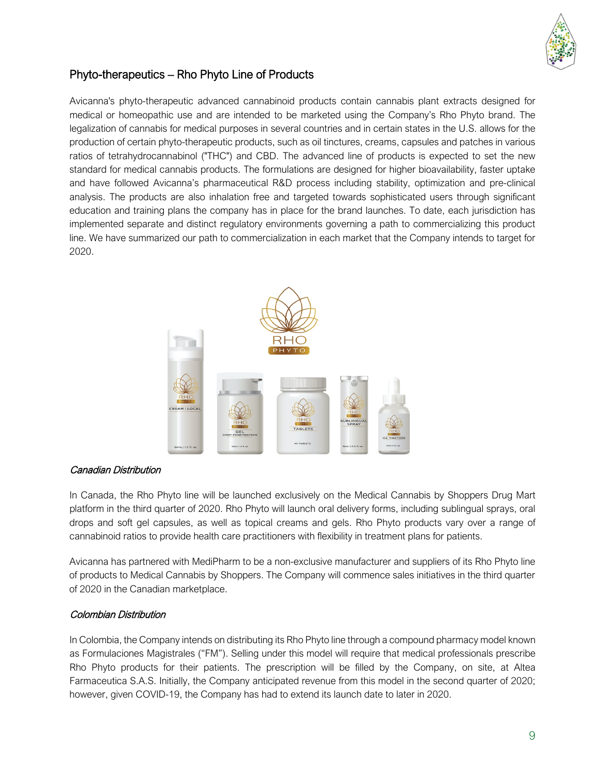

# Phyto-therapeutics – Rho Phyto Line of Products

Avicanna's phyto-therapeutic advanced cannabinoid products contain cannabis plant extracts designed for medical or homeopathic use and are intended to be marketed using the Company's Rho Phyto brand. The legalization of cannabis for medical purposes in several countries and in certain states in the U.S. allows for the production of certain phyto-therapeutic products, such as oil tinctures, creams, capsules and patches in various ratios of tetrahydrocannabinol ("THC") and CBD. The advanced line of products is expected to set the new standard for medical cannabis products. The formulations are designed for higher bioavailability, faster uptake and have followed Avicanna's pharmaceutical R&D process including stability, optimization and pre-clinical analysis. The products are also inhalation free and targeted towards sophisticated users through significant education and training plans the company has in place for the brand launches. To date, each jurisdiction has implemented separate and distinct regulatory environments governing a path to commercializing this product line. We have summarized our path to commercialization in each market that the Company intends to target for 2020.



# Canadian Distribution

In Canada, the Rho Phyto line will be launched exclusively on the Medical Cannabis by Shoppers Drug Mart platform in the third quarter of 2020. Rho Phyto will launch oral delivery forms, including sublingual sprays, oral drops and soft gel capsules, as well as topical creams and gels. Rho Phyto products vary over a range of cannabinoid ratios to provide health care practitioners with flexibility in treatment plans for patients.

Avicanna has partnered with MediPharm to be a non-exclusive manufacturer and suppliers of its Rho Phyto line of products to Medical Cannabis by Shoppers. The Company will commence sales initiatives in the third quarter of 2020 in the Canadian marketplace.

# Colombian Distribution

In Colombia, the Company intends on distributing its Rho Phyto line through a compound pharmacy model known as Formulaciones Magistrales ("FM"). Selling under this model will require that medical professionals prescribe Rho Phyto products for their patients. The prescription will be filled by the Company, on site, at Altea Farmaceutica S.A.S. Initially, the Company anticipated revenue from this model in the second quarter of 2020; however, given COVID-19, the Company has had to extend its launch date to later in 2020.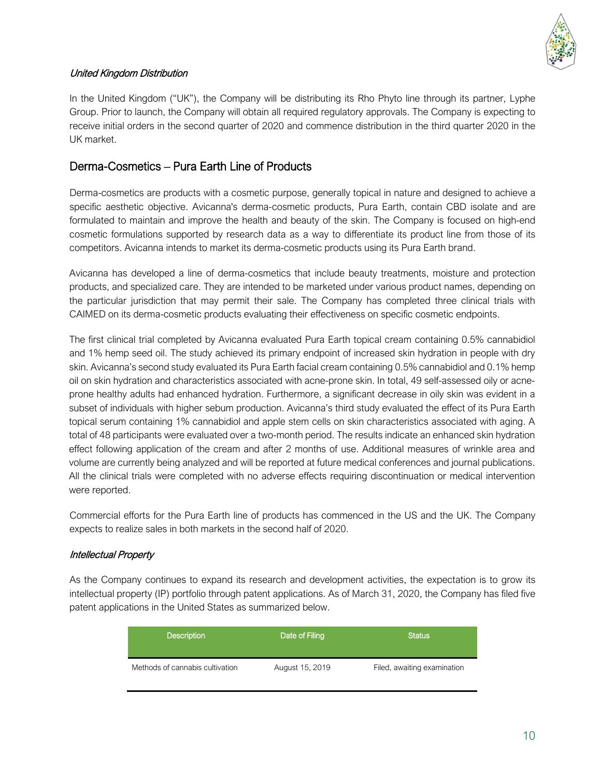

# United Kingdom Distribution

In the United Kingdom ("UK"), the Company will be distributing its Rho Phyto line through its partner, Lyphe Group. Prior to launch, the Company will obtain all required regulatory approvals. The Company is expecting to receive initial orders in the second quarter of 2020 and commence distribution in the third quarter 2020 in the UK market.

# Derma-Cosmetics – Pura Earth Line of Products

Derma-cosmetics are products with a cosmetic purpose, generally topical in nature and designed to achieve a specific aesthetic objective. Avicanna's derma-cosmetic products, Pura Earth, contain CBD isolate and are formulated to maintain and improve the health and beauty of the skin. The Company is focused on high-end cosmetic formulations supported by research data as a way to differentiate its product line from those of its competitors. Avicanna intends to market its derma-cosmetic products using its Pura Earth brand.

Avicanna has developed a line of derma-cosmetics that include beauty treatments, moisture and protection products, and specialized care. They are intended to be marketed under various product names, depending on the particular jurisdiction that may permit their sale. The Company has completed three clinical trials with CAIMED on its derma-cosmetic products evaluating their effectiveness on specific cosmetic endpoints.

The first clinical trial completed by Avicanna evaluated Pura Earth topical cream containing 0.5% cannabidiol and 1% hemp seed oil. The study achieved its primary endpoint of increased skin hydration in people with dry skin. Avicanna's second study evaluated its Pura Earth facial cream containing 0.5% cannabidiol and 0.1% hemp oil on skin hydration and characteristics associated with acne-prone skin. In total, 49 self-assessed oily or acneprone healthy adults had enhanced hydration. Furthermore, a significant decrease in oily skin was evident in a subset of individuals with higher sebum production. Avicanna's third study evaluated the effect of its Pura Earth topical serum containing 1% cannabidiol and apple stem cells on skin characteristics associated with aging. A total of 48 participants were evaluated over a two-month period. The results indicate an enhanced skin hydration effect following application of the cream and after 2 months of use. Additional measures of wrinkle area and volume are currently being analyzed and will be reported at future medical conferences and journal publications. All the clinical trials were completed with no adverse effects requiring discontinuation or medical intervention were reported.

Commercial efforts for the Pura Earth line of products has commenced in the US and the UK. The Company expects to realize sales in both markets in the second half of 2020.

# Intellectual Property

As the Company continues to expand its research and development activities, the expectation is to grow its intellectual property (IP) portfolio through patent applications. As of March 31, 2020, the Company has filed five patent applications in the United States as summarized below.

| <b>Description</b>              | Date of Filing  | <b>Status</b>               |
|---------------------------------|-----------------|-----------------------------|
| Methods of cannabis cultivation | August 15, 2019 | Filed, awaiting examination |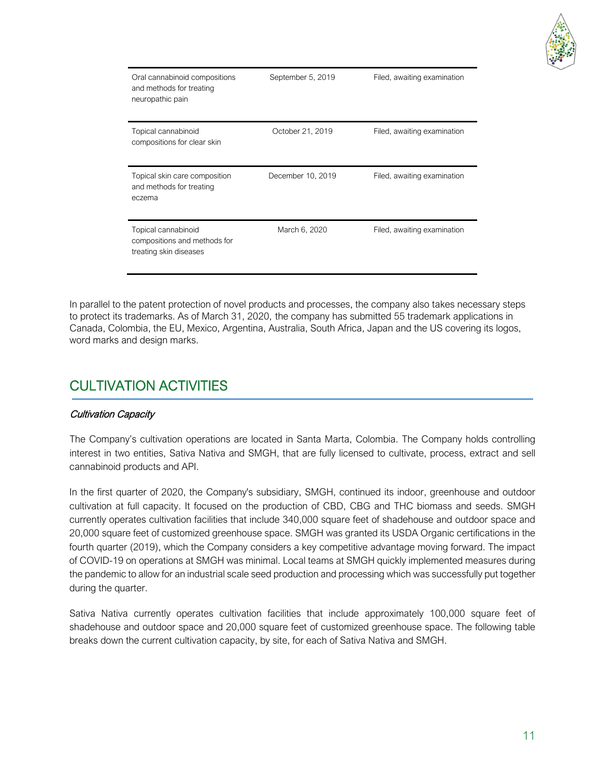

| Oral cannabinoid compositions<br>and methods for treating<br>neuropathic pain | September 5, 2019 | Filed, awaiting examination |
|-------------------------------------------------------------------------------|-------------------|-----------------------------|
| Topical cannabinoid<br>compositions for clear skin                            | October 21, 2019  | Filed, awaiting examination |
| Topical skin care composition<br>and methods for treating<br>eczema           | December 10, 2019 | Filed, awaiting examination |
|                                                                               |                   |                             |

In parallel to the patent protection of novel products and processes, the company also takes necessary steps to protect its trademarks. As of March 31, 2020, the company has submitted 55 trademark applications in Canada, Colombia, the EU, Mexico, Argentina, Australia, South Africa, Japan and the US covering its logos, word marks and design marks.

# CULTIVATION ACTIVITIES

# Cultivation Capacity

The Company's cultivation operations are located in Santa Marta, Colombia. The Company holds controlling interest in two entities, Sativa Nativa and SMGH, that are fully licensed to cultivate, process, extract and sell cannabinoid products and API.

In the first quarter of 2020, the Company's subsidiary, SMGH, continued its indoor, greenhouse and outdoor cultivation at full capacity. It focused on the production of CBD, CBG and THC biomass and seeds. SMGH currently operates cultivation facilities that include 340,000 square feet of shadehouse and outdoor space and 20,000 square feet of customized greenhouse space. SMGH was granted its USDA Organic certifications in the fourth quarter (2019), which the Company considers a key competitive advantage moving forward. The impact of COVID-19 on operations at SMGH was minimal. Local teams at SMGH quickly implemented measures during the pandemic to allow for an industrial scale seed production and processing which was successfully put together during the quarter.

Sativa Nativa currently operates cultivation facilities that include approximately 100,000 square feet of shadehouse and outdoor space and 20,000 square feet of customized greenhouse space. The following table breaks down the current cultivation capacity, by site, for each of Sativa Nativa and SMGH.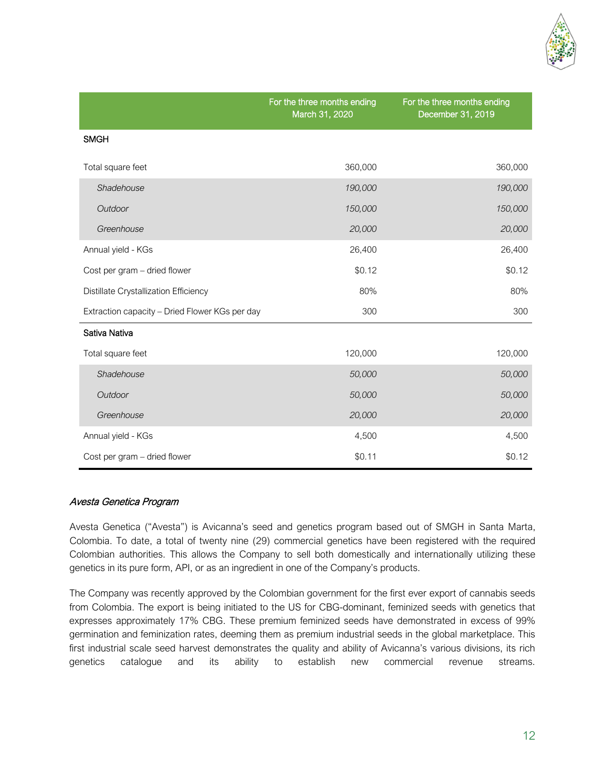

|                                                | For the three months ending<br>March 31, 2020 | For the three months ending<br>December 31, 2019 |
|------------------------------------------------|-----------------------------------------------|--------------------------------------------------|
| <b>SMGH</b>                                    |                                               |                                                  |
| Total square feet                              | 360,000                                       | 360,000                                          |
| Shadehouse                                     | 190,000                                       | 190,000                                          |
| Outdoor                                        | 150,000                                       | 150,000                                          |
| Greenhouse                                     | 20,000                                        | 20,000                                           |
| Annual yield - KGs                             | 26,400                                        | 26,400                                           |
| Cost per gram - dried flower                   | \$0.12                                        | \$0.12                                           |
| Distillate Crystallization Efficiency          | 80%                                           | 80%                                              |
| Extraction capacity - Dried Flower KGs per day | 300                                           | 300                                              |
| Sativa Nativa                                  |                                               |                                                  |
| Total square feet                              | 120,000                                       | 120,000                                          |
| Shadehouse                                     | 50,000                                        | 50,000                                           |
| Outdoor                                        | 50,000                                        | 50,000                                           |
| Greenhouse                                     | 20,000                                        | 20,000                                           |
| Annual yield - KGs                             | 4,500                                         | 4,500                                            |
| Cost per gram - dried flower                   | \$0.11                                        | \$0.12                                           |

#### Avesta Genetica Program

Avesta Genetica ("Avesta") is Avicanna's seed and genetics program based out of SMGH in Santa Marta, Colombia. To date, a total of twenty nine (29) commercial genetics have been registered with the required Colombian authorities. This allows the Company to sell both domestically and internationally utilizing these genetics in its pure form, API, or as an ingredient in one of the Company's products.

The Company was recently approved by the Colombian government for the first ever export of cannabis seeds from Colombia. The export is being initiated to the US for CBG-dominant, feminized seeds with genetics that expresses approximately 17% CBG. These premium feminized seeds have demonstrated in excess of 99% germination and feminization rates, deeming them as premium industrial seeds in the global marketplace. This first industrial scale seed harvest demonstrates the quality and ability of Avicanna's various divisions, its rich genetics catalogue and its ability to establish new commercial revenue streams.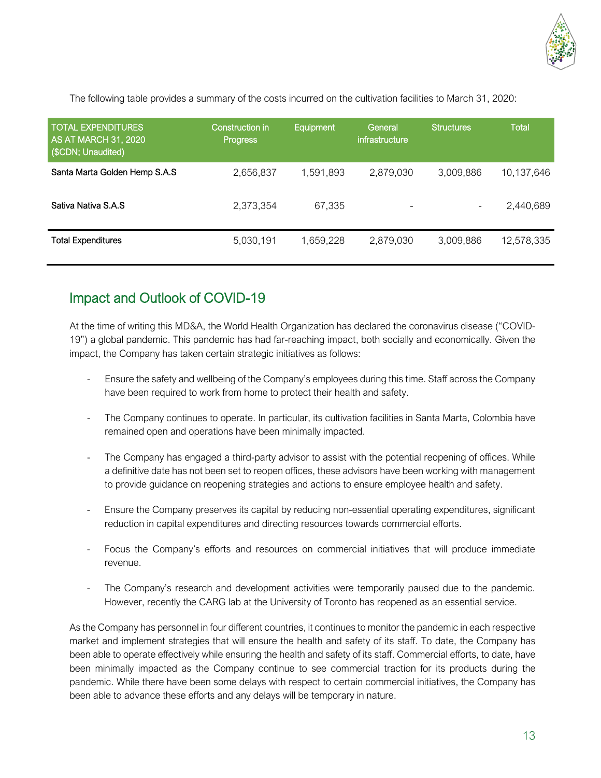

TOTAL EXPENDITURES AS AT MARCH 31, 2020 (\$CDN; Unaudited) Construction in **Progress** Equipment General infrastructure Structures Total Santa Marta Golden Hemp S.A.S 2,656,837 1,591,893 2,879,030 3,009,886 10,137,646 Sativa Nativa S.A.S 2,440,689 12,373,354 67,335 12,440,689 Total Expenditures 5,030,191 1,659,228 2,879,030 3,009,886 12,578,335

The following table provides a summary of the costs incurred on the cultivation facilities to March 31, 2020:

# Impact and Outlook of COVID-19

At the time of writing this MD&A, the World Health Organization has declared the coronavirus disease ("COVID-19") a global pandemic. This pandemic has had far-reaching impact, both socially and economically. Given the impact, the Company has taken certain strategic initiatives as follows:

- Ensure the safety and wellbeing of the Company's employees during this time. Staff across the Company have been required to work from home to protect their health and safety.
- The Company continues to operate. In particular, its cultivation facilities in Santa Marta, Colombia have remained open and operations have been minimally impacted.
- The Company has engaged a third-party advisor to assist with the potential reopening of offices. While a definitive date has not been set to reopen offices, these advisors have been working with management to provide guidance on reopening strategies and actions to ensure employee health and safety.
- Ensure the Company preserves its capital by reducing non-essential operating expenditures, significant reduction in capital expenditures and directing resources towards commercial efforts.
- Focus the Company's efforts and resources on commercial initiatives that will produce immediate revenue.
- The Company's research and development activities were temporarily paused due to the pandemic. However, recently the CARG lab at the University of Toronto has reopened as an essential service.

As the Company has personnel in four different countries, it continues to monitor the pandemic in each respective market and implement strategies that will ensure the health and safety of its staff. To date, the Company has been able to operate effectively while ensuring the health and safety of its staff. Commercial efforts, to date, have been minimally impacted as the Company continue to see commercial traction for its products during the pandemic. While there have been some delays with respect to certain commercial initiatives, the Company has been able to advance these efforts and any delays will be temporary in nature.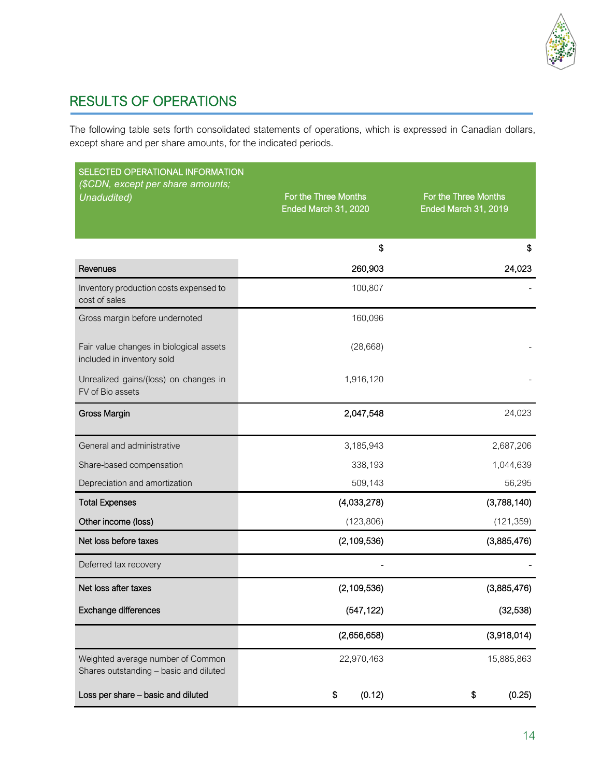

# RESULTS OF OPERATIONS

The following table sets forth consolidated statements of operations, which is expressed in Canadian dollars, except share and per share amounts, for the indicated periods.

| SELECTED OPERATIONAL INFORMATION<br>(\$CDN, except per share amounts;<br>Unadudited) | For the Three Months<br>Ended March 31, 2020 | For the Three Months<br>Ended March 31, 2019 |
|--------------------------------------------------------------------------------------|----------------------------------------------|----------------------------------------------|
|                                                                                      |                                              |                                              |
|                                                                                      | S                                            | \$                                           |
| Revenues                                                                             | 260,903                                      | 24,023                                       |
| Inventory production costs expensed to<br>cost of sales                              | 100,807                                      |                                              |
| Gross margin before undernoted                                                       | 160,096                                      |                                              |
| Fair value changes in biological assets<br>included in inventory sold                | (28, 668)                                    |                                              |
| Unrealized gains/(loss) on changes in<br>FV of Bio assets                            | 1,916,120                                    |                                              |
| Gross Margin                                                                         | 2,047,548                                    | 24,023                                       |
| General and administrative                                                           | 3,185,943                                    | 2,687,206                                    |
| Share-based compensation                                                             | 338,193                                      | 1,044,639                                    |
| Depreciation and amortization                                                        | 509,143                                      | 56,295                                       |
| <b>Total Expenses</b>                                                                | (4,033,278)                                  | (3,788,140)                                  |
| Other income (loss)                                                                  | (123, 806)                                   | (121, 359)                                   |
| Net loss before taxes                                                                | (2,109,536)                                  | (3,885,476)                                  |
| Deferred tax recovery                                                                |                                              |                                              |
| Net loss after taxes                                                                 | (2,109,536)                                  | (3,885,476)                                  |
| Exchange differences                                                                 | (547, 122)                                   | (32, 538)                                    |
|                                                                                      | (2,656,658)                                  | (3,918,014)                                  |
| Weighted average number of Common<br>Shares outstanding - basic and diluted          | 22,970,463                                   | 15,885,863                                   |
| Loss per share - basic and diluted                                                   | (0.12)<br>\$                                 | \$<br>(0.25)                                 |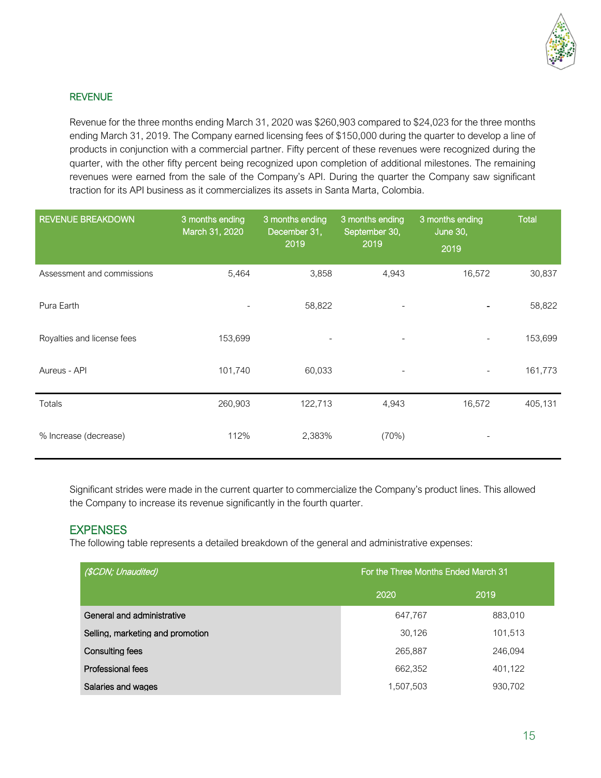

# REVENUE

Revenue for the three months ending March 31, 2020 was \$260,903 compared to \$24,023 for the three months ending March 31, 2019. The Company earned licensing fees of \$150,000 during the quarter to develop a line of products in conjunction with a commercial partner. Fifty percent of these revenues were recognized during the quarter, with the other fifty percent being recognized upon completion of additional milestones. The remaining revenues were earned from the sale of the Company's API. During the quarter the Company saw significant traction for its API business as it commercializes its assets in Santa Marta, Colombia.

| <b>REVENUE BREAKDOWN</b>   | 3 months ending<br>March 31, 2020 | 3 months ending<br>December 31,<br>2019 | 3 months ending<br>September 30,<br>2019 | 3 months ending<br><b>June 30,</b><br>2019 | <b>Total</b> |
|----------------------------|-----------------------------------|-----------------------------------------|------------------------------------------|--------------------------------------------|--------------|
| Assessment and commissions | 5,464                             | 3,858                                   | 4,943                                    | 16,572                                     | 30,837       |
| Pura Earth                 | $\overline{\phantom{a}}$          | 58,822                                  | $\overline{\phantom{a}}$                 |                                            | 58,822       |
| Royalties and license fees | 153,699                           |                                         | $\overline{\phantom{a}}$                 | $\overline{\phantom{a}}$                   | 153,699      |
| Aureus - API               | 101,740                           | 60,033                                  | $\overline{\phantom{a}}$                 | $\overline{\phantom{a}}$                   | 161,773      |
| Totals                     | 260,903                           | 122,713                                 | 4,943                                    | 16,572                                     | 405,131      |
| % Increase (decrease)      | 112%                              | 2,383%                                  | (70%)                                    |                                            |              |

Significant strides were made in the current quarter to commercialize the Company's product lines. This allowed the Company to increase its revenue significantly in the fourth quarter.

# **EXPENSES**

The following table represents a detailed breakdown of the general and administrative expenses:

| (\$CDN; Unaudited)               | For the Three Months Ended March 31 |         |  |
|----------------------------------|-------------------------------------|---------|--|
|                                  | 2020                                | 2019    |  |
| General and administrative       | 647,767                             | 883,010 |  |
| Selling, marketing and promotion | 30,126                              | 101,513 |  |
| Consulting fees                  | 265,887                             | 246,094 |  |
| <b>Professional fees</b>         | 662,352                             | 401,122 |  |
| Salaries and wages               | 1,507,503                           | 930,702 |  |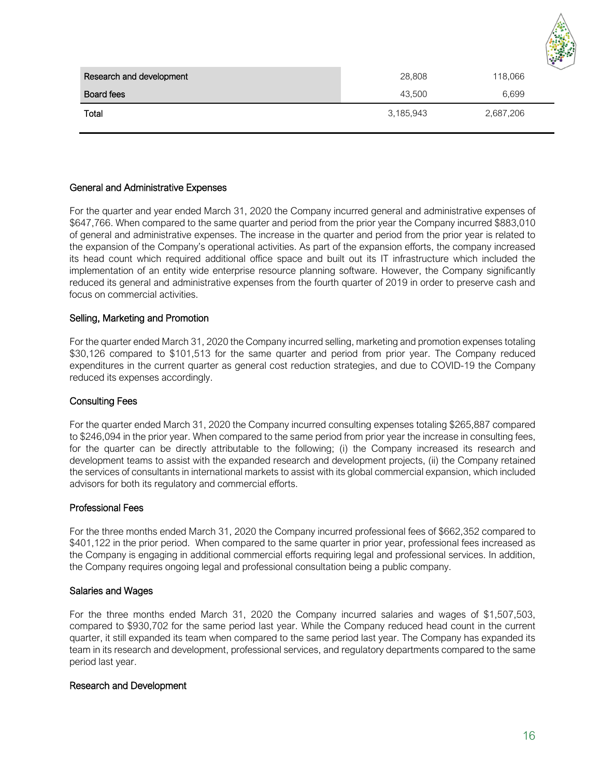

| Research and development | 28,808    | 118,066   |  |
|--------------------------|-----------|-----------|--|
| Board fees               | 43,500    | 6,699     |  |
| Total                    | 3,185,943 | 2,687,206 |  |

#### General and Administrative Expenses

For the quarter and year ended March 31, 2020 the Company incurred general and administrative expenses of \$647,766. When compared to the same quarter and period from the prior year the Company incurred \$883,010 of general and administrative expenses. The increase in the quarter and period from the prior year is related to the expansion of the Company's operational activities. As part of the expansion efforts, the company increased its head count which required additional office space and built out its IT infrastructure which included the implementation of an entity wide enterprise resource planning software. However, the Company significantly reduced its general and administrative expenses from the fourth quarter of 2019 in order to preserve cash and focus on commercial activities.

#### Selling, Marketing and Promotion

For the quarter ended March 31, 2020 the Company incurred selling, marketing and promotion expenses totaling \$30,126 compared to \$101,513 for the same quarter and period from prior year. The Company reduced expenditures in the current quarter as general cost reduction strategies, and due to COVID-19 the Company reduced its expenses accordingly.

#### Consulting Fees

For the quarter ended March 31, 2020 the Company incurred consulting expenses totaling \$265,887 compared to \$246,094 in the prior year. When compared to the same period from prior year the increase in consulting fees, for the quarter can be directly attributable to the following; (i) the Company increased its research and development teams to assist with the expanded research and development projects, (ii) the Company retained the services of consultants in international markets to assist with its global commercial expansion, which included advisors for both its regulatory and commercial efforts.

#### Professional Fees

For the three months ended March 31, 2020 the Company incurred professional fees of \$662,352 compared to \$401,122 in the prior period. When compared to the same quarter in prior year, professional fees increased as the Company is engaging in additional commercial efforts requiring legal and professional services. In addition, the Company requires ongoing legal and professional consultation being a public company.

#### Salaries and Wages

For the three months ended March 31, 2020 the Company incurred salaries and wages of \$1,507,503, compared to \$930,702 for the same period last year. While the Company reduced head count in the current quarter, it still expanded its team when compared to the same period last year. The Company has expanded its team in its research and development, professional services, and regulatory departments compared to the same period last year.

#### Research and Development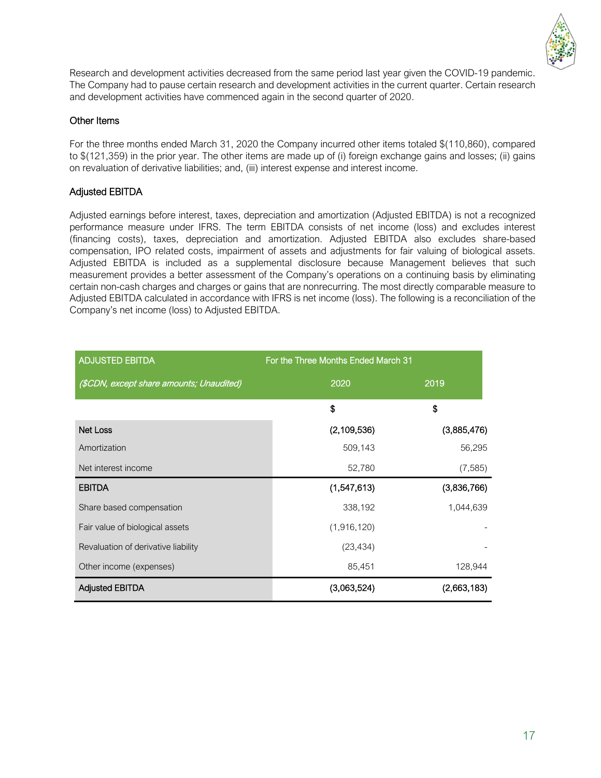

Research and development activities decreased from the same period last year given the COVID-19 pandemic. The Company had to pause certain research and development activities in the current quarter. Certain research and development activities have commenced again in the second quarter of 2020.

#### Other Items

For the three months ended March 31, 2020 the Company incurred other items totaled \$(110,860), compared to \$(121,359) in the prior year. The other items are made up of (i) foreign exchange gains and losses; (ii) gains on revaluation of derivative liabilities; and, (iii) interest expense and interest income.

# Adjusted EBITDA

Adjusted earnings before interest, taxes, depreciation and amortization (Adjusted EBITDA) is not a recognized performance measure under IFRS. The term EBITDA consists of net income (loss) and excludes interest (financing costs), taxes, depreciation and amortization. Adjusted EBITDA also excludes share-based compensation, IPO related costs, impairment of assets and adjustments for fair valuing of biological assets. Adjusted EBITDA is included as a supplemental disclosure because Management believes that such measurement provides a better assessment of the Company's operations on a continuing basis by eliminating certain non-cash charges and charges or gains that are nonrecurring. The most directly comparable measure to Adjusted EBITDA calculated in accordance with IFRS is net income (loss). The following is a reconciliation of the Company's net income (loss) to Adjusted EBITDA.

| <b>ADJUSTED EBITDA</b>                   | For the Three Months Ended March 31 |             |  |  |  |
|------------------------------------------|-------------------------------------|-------------|--|--|--|
| (\$CDN, except share amounts; Unaudited) | 2020                                | 2019        |  |  |  |
|                                          | \$                                  | \$          |  |  |  |
| Net Loss                                 | (2,109,536)                         | (3,885,476) |  |  |  |
| Amortization                             | 509,143                             | 56,295      |  |  |  |
| Net interest income                      | 52,780                              | (7, 585)    |  |  |  |
| <b>EBITDA</b>                            | (1, 547, 613)                       | (3,836,766) |  |  |  |
| Share based compensation                 | 338,192                             | 1,044,639   |  |  |  |
| Fair value of biological assets          | (1,916,120)                         |             |  |  |  |
| Revaluation of derivative liability      | (23, 434)                           |             |  |  |  |
| Other income (expenses)                  | 85,451                              | 128,944     |  |  |  |
| <b>Adjusted EBITDA</b>                   | (3,063,524)                         | (2,663,183) |  |  |  |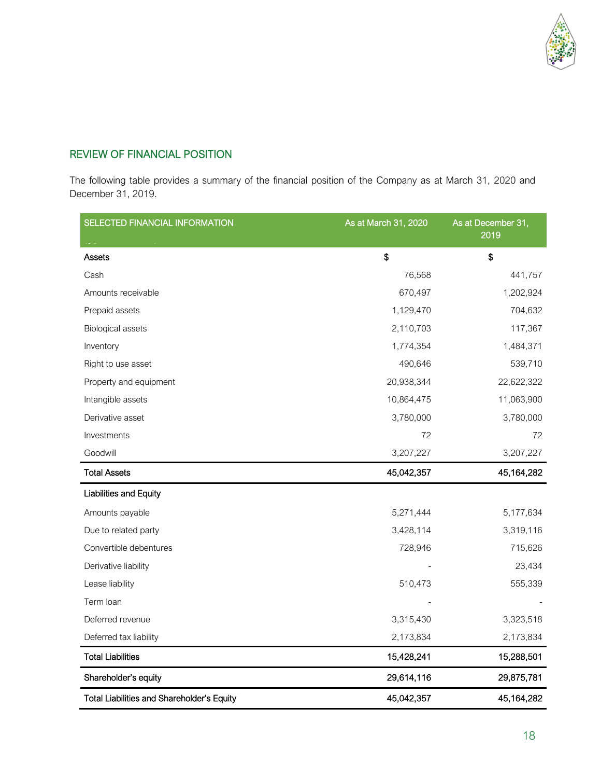

# REVIEW OF FINANCIAL POSITION

The following table provides a summary of the financial position of the Company as at March 31, 2020 and December 31, 2019.

| SELECTED FINANCIAL INFORMATION                    | As at March 31, 2020 | As at December 31,<br>2019 |
|---------------------------------------------------|----------------------|----------------------------|
| Assets                                            | \$                   | \$                         |
| Cash                                              | 76,568               | 441,757                    |
| Amounts receivable                                | 670,497              | 1,202,924                  |
| Prepaid assets                                    | 1,129,470            | 704,632                    |
| <b>Biological assets</b>                          | 2,110,703            | 117,367                    |
| Inventory                                         | 1,774,354            | 1,484,371                  |
| Right to use asset                                | 490,646              | 539,710                    |
| Property and equipment                            | 20,938,344           | 22,622,322                 |
| Intangible assets                                 | 10,864,475           | 11,063,900                 |
| Derivative asset                                  | 3,780,000            | 3,780,000                  |
| Investments                                       | 72                   | 72                         |
| Goodwill                                          | 3,207,227            | 3,207,227                  |
| <b>Total Assets</b>                               | 45,042,357           | 45,164,282                 |
| <b>Liabilities and Equity</b>                     |                      |                            |
| Amounts payable                                   | 5,271,444            | 5,177,634                  |
| Due to related party                              | 3,428,114            | 3,319,116                  |
| Convertible debentures                            | 728,946              | 715,626                    |
| Derivative liability                              |                      | 23,434                     |
| Lease liability                                   | 510,473              | 555,339                    |
| Term loan                                         |                      |                            |
| Deferred revenue                                  | 3,315,430            | 3,323,518                  |
| Deferred tax liability                            | 2,173,834            | 2,173,834                  |
| <b>Total Liabilities</b>                          | 15,428,241           | 15,288,501                 |
| Shareholder's equity                              | 29,614,116           | 29,875,781                 |
| <b>Total Liabilities and Shareholder's Equity</b> | 45,042,357           | 45,164,282                 |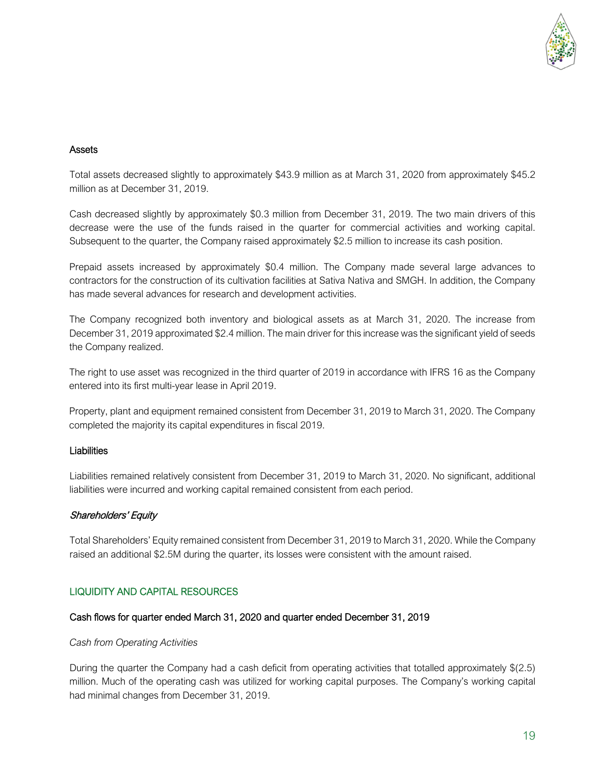

# Assets

Total assets decreased slightly to approximately \$43.9 million as at March 31, 2020 from approximately \$45.2 million as at December 31, 2019.

Cash decreased slightly by approximately \$0.3 million from December 31, 2019. The two main drivers of this decrease were the use of the funds raised in the quarter for commercial activities and working capital. Subsequent to the quarter, the Company raised approximately \$2.5 million to increase its cash position.

Prepaid assets increased by approximately \$0.4 million. The Company made several large advances to contractors for the construction of its cultivation facilities at Sativa Nativa and SMGH. In addition, the Company has made several advances for research and development activities.

The Company recognized both inventory and biological assets as at March 31, 2020. The increase from December 31, 2019 approximated \$2.4 million. The main driver for this increase was the significant yield of seeds the Company realized.

The right to use asset was recognized in the third quarter of 2019 in accordance with IFRS 16 as the Company entered into its first multi-year lease in April 2019.

Property, plant and equipment remained consistent from December 31, 2019 to March 31, 2020. The Company completed the majority its capital expenditures in fiscal 2019.

#### Liabilities

Liabilities remained relatively consistent from December 31, 2019 to March 31, 2020. No significant, additional liabilities were incurred and working capital remained consistent from each period.

# Shareholders' Equity

Total Shareholders' Equity remained consistent from December 31, 2019 to March 31, 2020. While the Company raised an additional \$2.5M during the quarter, its losses were consistent with the amount raised.

# LIQUIDITY AND CAPITAL RESOURCES

#### Cash flows for quarter ended March 31, 2020 and quarter ended December 31, 2019

#### *Cash from Operating Activities*

During the quarter the Company had a cash deficit from operating activities that totalled approximately \$(2.5) million. Much of the operating cash was utilized for working capital purposes. The Company's working capital had minimal changes from December 31, 2019.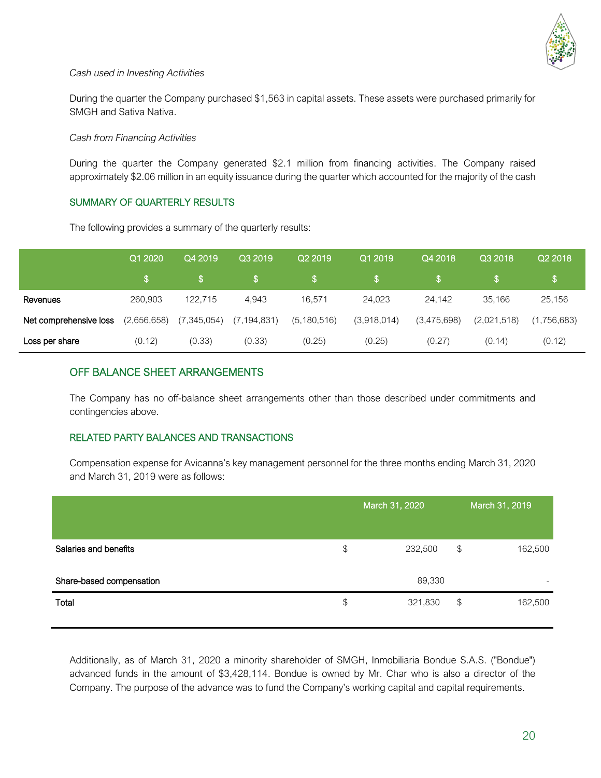

#### *Cash used in Investing Activities*

During the quarter the Company purchased \$1,563 in capital assets. These assets were purchased primarily for SMGH and Sativa Nativa.

#### *Cash from Financing Activities*

During the quarter the Company generated \$2.1 million from financing activities. The Company raised approximately \$2.06 million in an equity issuance during the quarter which accounted for the majority of the cash

# SUMMARY OF QUARTERLY RESULTS

The following provides a summary of the quarterly results:

|                        | Q1 2020     | Q4 2019       | Q3 2019     | Q <sub>2</sub> 2019 | Q1 2019     | Q4 2018     | Q3 2018     | Q2 2018     |
|------------------------|-------------|---------------|-------------|---------------------|-------------|-------------|-------------|-------------|
|                        |             |               |             |                     |             |             |             |             |
| Revenues               | 260.903     | 122.715       | 4.943       | 16.571              | 24.023      | 24.142      | 35.166      | 25,156      |
| Net comprehensive loss | (2,656,658) | (7, 345, 054) | (7,194,831) | (5, 180, 516)       | (3,918,014) | (3,475,698) | (2,021,518) | (1,756,683) |
| Loss per share         | (0.12)      | (0.33)        | (0.33)      | (0.25)              | (0.25)      | (0.27)      | (0.14)      | (0.12)      |

# OFF BALANCE SHEET ARRANGEMENTS

The Company has no off-balance sheet arrangements other than those described under commitments and contingencies above.

# RELATED PARTY BALANCES AND TRANSACTIONS

Compensation expense for Avicanna's key management personnel for the three months ending March 31, 2020 and March 31, 2019 were as follows:

|                          | March 31, 2020 |               | March 31, 2019 |
|--------------------------|----------------|---------------|----------------|
| Salaries and benefits    | \$<br>232,500  | \$            | 162,500        |
| Share-based compensation | 89,330         |               |                |
| Total                    | \$<br>321,830  | $\frac{1}{2}$ | 162,500        |

Additionally, as of March 31, 2020 a minority shareholder of SMGH, Inmobiliaria Bondue S.A.S. ("Bondue") advanced funds in the amount of \$3,428,114. Bondue is owned by Mr. Char who is also a director of the Company. The purpose of the advance was to fund the Company's working capital and capital requirements.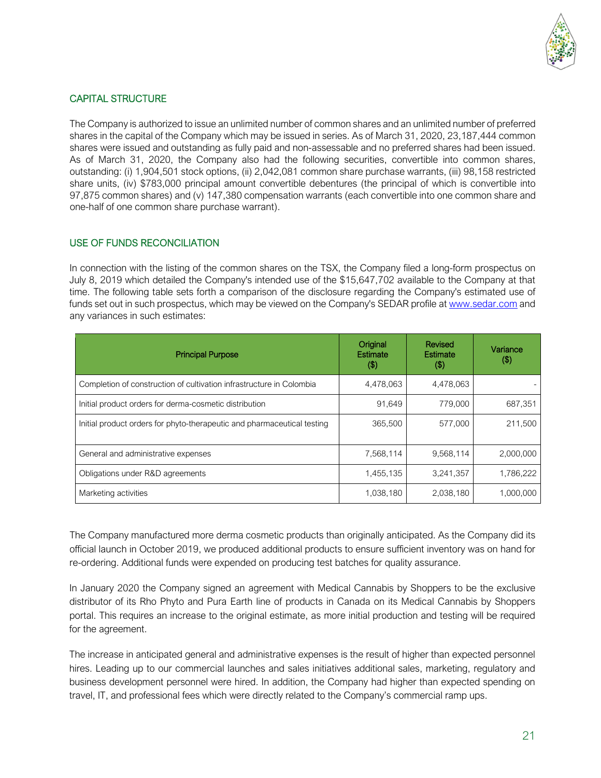

# CAPITAL STRUCTURE

The Company is authorized to issue an unlimited number of common shares and an unlimited number of preferred shares in the capital of the Company which may be issued in series. As of March 31, 2020, 23,187,444 common shares were issued and outstanding as fully paid and non-assessable and no preferred shares had been issued. As of March 31, 2020, the Company also had the following securities, convertible into common shares, outstanding: (i) 1,904,501 stock options, (ii) 2,042,081 common share purchase warrants, (iii) 98,158 restricted share units, (iv) \$783,000 principal amount convertible debentures (the principal of which is convertible into 97,875 common shares) and (v) 147,380 compensation warrants (each convertible into one common share and one-half of one common share purchase warrant).

# USE OF FUNDS RECONCILIATION

In connection with the listing of the common shares on the TSX, the Company filed a long-form prospectus on July 8, 2019 which detailed the Company's intended use of the \$15,647,702 available to the Company at that time. The following table sets forth a comparison of the disclosure regarding the Company's estimated use of funds set out in such prospectus, which may be viewed on the Company's SEDAR profile at [www.sedar.com](http://www.sedar.com/) and any variances in such estimates:

| <b>Principal Purpose</b>                                                | Original<br>Estimate<br>$(\$)$ | Revised<br>Estimate<br>$(\$)$ | <b>Variance</b><br>(\$) |  |
|-------------------------------------------------------------------------|--------------------------------|-------------------------------|-------------------------|--|
| Completion of construction of cultivation infrastructure in Colombia    | 4,478,063                      | 4.478.063                     |                         |  |
| Initial product orders for derma-cosmetic distribution                  | 91,649                         | 779.000                       | 687,351                 |  |
| Initial product orders for phyto-therapeutic and pharmaceutical testing | 365,500                        | 577,000                       | 211,500                 |  |
| General and administrative expenses                                     | 7,568,114                      | 9,568,114                     | 2,000,000               |  |
| Obligations under R&D agreements                                        | 1,455,135                      | 3,241,357                     | 1,786,222               |  |
| Marketing activities                                                    | 1,038,180                      | 2,038,180                     | 1,000,000               |  |

The Company manufactured more derma cosmetic products than originally anticipated. As the Company did its official launch in October 2019, we produced additional products to ensure sufficient inventory was on hand for re-ordering. Additional funds were expended on producing test batches for quality assurance.

In January 2020 the Company signed an agreement with Medical Cannabis by Shoppers to be the exclusive distributor of its Rho Phyto and Pura Earth line of products in Canada on its Medical Cannabis by Shoppers portal. This requires an increase to the original estimate, as more initial production and testing will be required for the agreement.

The increase in anticipated general and administrative expenses is the result of higher than expected personnel hires. Leading up to our commercial launches and sales initiatives additional sales, marketing, regulatory and business development personnel were hired. In addition, the Company had higher than expected spending on travel, IT, and professional fees which were directly related to the Company's commercial ramp ups.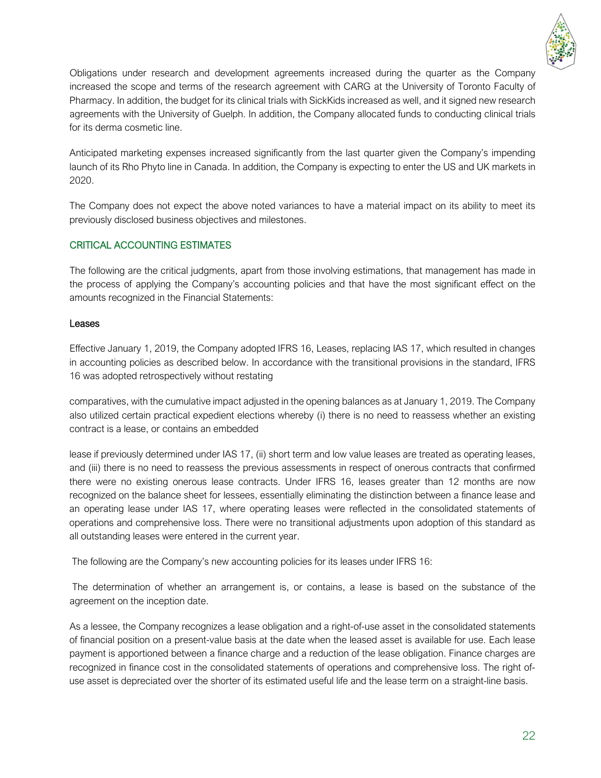

Obligations under research and development agreements increased during the quarter as the Company increased the scope and terms of the research agreement with CARG at the University of Toronto Faculty of Pharmacy. In addition, the budget for its clinical trials with SickKids increased as well, and it signed new research agreements with the University of Guelph. In addition, the Company allocated funds to conducting clinical trials for its derma cosmetic line.

Anticipated marketing expenses increased significantly from the last quarter given the Company's impending launch of its Rho Phyto line in Canada. In addition, the Company is expecting to enter the US and UK markets in 2020.

The Company does not expect the above noted variances to have a material impact on its ability to meet its previously disclosed business objectives and milestones.

# CRITICAL ACCOUNTING ESTIMATES

The following are the critical judgments, apart from those involving estimations, that management has made in the process of applying the Company's accounting policies and that have the most significant effect on the amounts recognized in the Financial Statements:

#### Leases

Effective January 1, 2019, the Company adopted IFRS 16, Leases, replacing IAS 17, which resulted in changes in accounting policies as described below. In accordance with the transitional provisions in the standard, IFRS 16 was adopted retrospectively without restating

comparatives, with the cumulative impact adjusted in the opening balances as at January 1, 2019. The Company also utilized certain practical expedient elections whereby (i) there is no need to reassess whether an existing contract is a lease, or contains an embedded

lease if previously determined under IAS 17, (ii) short term and low value leases are treated as operating leases, and (iii) there is no need to reassess the previous assessments in respect of onerous contracts that confirmed there were no existing onerous lease contracts. Under IFRS 16, leases greater than 12 months are now recognized on the balance sheet for lessees, essentially eliminating the distinction between a finance lease and an operating lease under IAS 17, where operating leases were reflected in the consolidated statements of operations and comprehensive loss. There were no transitional adjustments upon adoption of this standard as all outstanding leases were entered in the current year.

The following are the Company's new accounting policies for its leases under IFRS 16:

The determination of whether an arrangement is, or contains, a lease is based on the substance of the agreement on the inception date.

As a lessee, the Company recognizes a lease obligation and a right-of-use asset in the consolidated statements of financial position on a present-value basis at the date when the leased asset is available for use. Each lease payment is apportioned between a finance charge and a reduction of the lease obligation. Finance charges are recognized in finance cost in the consolidated statements of operations and comprehensive loss. The right ofuse asset is depreciated over the shorter of its estimated useful life and the lease term on a straight-line basis.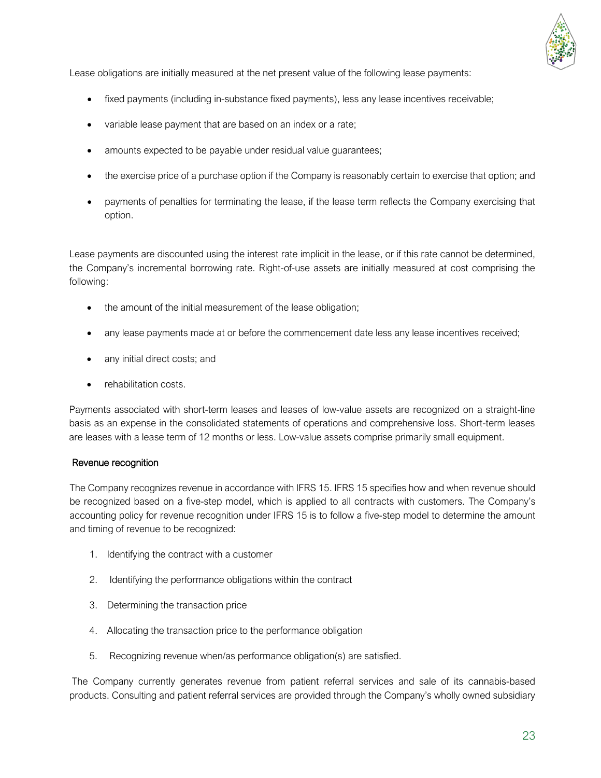

Lease obligations are initially measured at the net present value of the following lease payments:

- fixed payments (including in-substance fixed payments), less any lease incentives receivable;
- variable lease payment that are based on an index or a rate;
- amounts expected to be payable under residual value quarantees;
- the exercise price of a purchase option if the Company is reasonably certain to exercise that option; and
- payments of penalties for terminating the lease, if the lease term reflects the Company exercising that option.

Lease payments are discounted using the interest rate implicit in the lease, or if this rate cannot be determined, the Company's incremental borrowing rate. Right-of-use assets are initially measured at cost comprising the following:

- the amount of the initial measurement of the lease obligation;
- any lease payments made at or before the commencement date less any lease incentives received;
- any initial direct costs; and
- rehabilitation costs.

Payments associated with short-term leases and leases of low-value assets are recognized on a straight-line basis as an expense in the consolidated statements of operations and comprehensive loss. Short-term leases are leases with a lease term of 12 months or less. Low-value assets comprise primarily small equipment.

#### Revenue recognition

The Company recognizes revenue in accordance with IFRS 15. IFRS 15 specifies how and when revenue should be recognized based on a five-step model, which is applied to all contracts with customers. The Company's accounting policy for revenue recognition under IFRS 15 is to follow a five-step model to determine the amount and timing of revenue to be recognized:

- 1. Identifying the contract with a customer
- 2. Identifying the performance obligations within the contract
- 3. Determining the transaction price
- 4. Allocating the transaction price to the performance obligation
- 5. Recognizing revenue when/as performance obligation(s) are satisfied.

The Company currently generates revenue from patient referral services and sale of its cannabis-based products. Consulting and patient referral services are provided through the Company's wholly owned subsidiary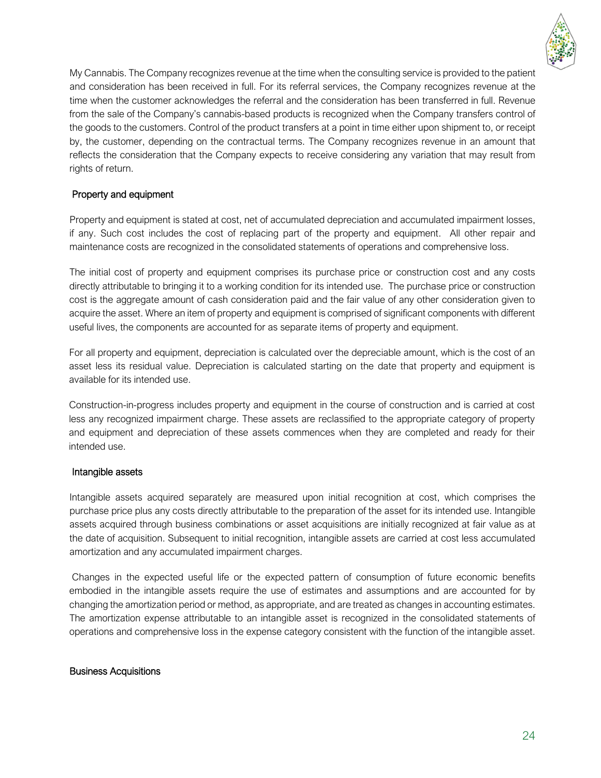

My Cannabis. The Company recognizes revenue at the time when the consulting service is provided to the patient and consideration has been received in full. For its referral services, the Company recognizes revenue at the time when the customer acknowledges the referral and the consideration has been transferred in full. Revenue from the sale of the Company's cannabis-based products is recognized when the Company transfers control of the goods to the customers. Control of the product transfers at a point in time either upon shipment to, or receipt by, the customer, depending on the contractual terms. The Company recognizes revenue in an amount that reflects the consideration that the Company expects to receive considering any variation that may result from rights of return.

# Property and equipment

Property and equipment is stated at cost, net of accumulated depreciation and accumulated impairment losses, if any. Such cost includes the cost of replacing part of the property and equipment. All other repair and maintenance costs are recognized in the consolidated statements of operations and comprehensive loss.

The initial cost of property and equipment comprises its purchase price or construction cost and any costs directly attributable to bringing it to a working condition for its intended use. The purchase price or construction cost is the aggregate amount of cash consideration paid and the fair value of any other consideration given to acquire the asset. Where an item of property and equipment is comprised of significant components with different useful lives, the components are accounted for as separate items of property and equipment.

For all property and equipment, depreciation is calculated over the depreciable amount, which is the cost of an asset less its residual value. Depreciation is calculated starting on the date that property and equipment is available for its intended use.

Construction-in-progress includes property and equipment in the course of construction and is carried at cost less any recognized impairment charge. These assets are reclassified to the appropriate category of property and equipment and depreciation of these assets commences when they are completed and ready for their intended use.

# Intangible assets

Intangible assets acquired separately are measured upon initial recognition at cost, which comprises the purchase price plus any costs directly attributable to the preparation of the asset for its intended use. Intangible assets acquired through business combinations or asset acquisitions are initially recognized at fair value as at the date of acquisition. Subsequent to initial recognition, intangible assets are carried at cost less accumulated amortization and any accumulated impairment charges.

Changes in the expected useful life or the expected pattern of consumption of future economic benefits embodied in the intangible assets require the use of estimates and assumptions and are accounted for by changing the amortization period or method, as appropriate, and are treated as changes in accounting estimates. The amortization expense attributable to an intangible asset is recognized in the consolidated statements of operations and comprehensive loss in the expense category consistent with the function of the intangible asset.

# Business Acquisitions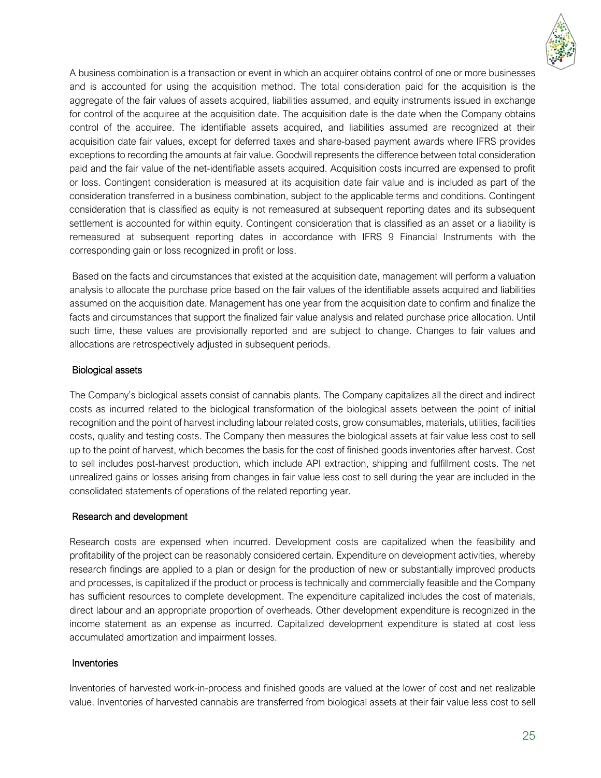

A business combination is a transaction or event in which an acquirer obtains control of one or more businesses and is accounted for using the acquisition method. The total consideration paid for the acquisition is the aggregate of the fair values of assets acquired, liabilities assumed, and equity instruments issued in exchange for control of the acquiree at the acquisition date. The acquisition date is the date when the Company obtains control of the acquiree. The identifiable assets acquired, and liabilities assumed are recognized at their acquisition date fair values, except for deferred taxes and share-based payment awards where IFRS provides exceptions to recording the amounts at fair value. Goodwill represents the difference between total consideration paid and the fair value of the net-identifiable assets acquired. Acquisition costs incurred are expensed to profit or loss. Contingent consideration is measured at its acquisition date fair value and is included as part of the consideration transferred in a business combination, subject to the applicable terms and conditions. Contingent consideration that is classified as equity is not remeasured at subsequent reporting dates and its subsequent settlement is accounted for within equity. Contingent consideration that is classified as an asset or a liability is remeasured at subsequent reporting dates in accordance with IFRS 9 Financial Instruments with the corresponding gain or loss recognized in profit or loss.

Based on the facts and circumstances that existed at the acquisition date, management will perform a valuation analysis to allocate the purchase price based on the fair values of the identifiable assets acquired and liabilities assumed on the acquisition date. Management has one year from the acquisition date to confirm and finalize the facts and circumstances that support the finalized fair value analysis and related purchase price allocation. Until such time, these values are provisionally reported and are subject to change. Changes to fair values and allocations are retrospectively adjusted in subsequent periods.

#### Biological assets

The Company's biological assets consist of cannabis plants. The Company capitalizes all the direct and indirect costs as incurred related to the biological transformation of the biological assets between the point of initial recognition and the point of harvest including labour related costs, grow consumables, materials, utilities, facilities costs, quality and testing costs. The Company then measures the biological assets at fair value less cost to sell up to the point of harvest, which becomes the basis for the cost of finished goods inventories after harvest. Cost to sell includes post-harvest production, which include API extraction, shipping and fulfillment costs. The net unrealized gains or losses arising from changes in fair value less cost to sell during the year are included in the consolidated statements of operations of the related reporting year.

# Research and development

Research costs are expensed when incurred. Development costs are capitalized when the feasibility and profitability of the project can be reasonably considered certain. Expenditure on development activities, whereby research findings are applied to a plan or design for the production of new or substantially improved products and processes, is capitalized if the product or process is technically and commercially feasible and the Company has sufficient resources to complete development. The expenditure capitalized includes the cost of materials, direct labour and an appropriate proportion of overheads. Other development expenditure is recognized in the income statement as an expense as incurred. Capitalized development expenditure is stated at cost less accumulated amortization and impairment losses.

#### Inventories

Inventories of harvested work-in-process and finished goods are valued at the lower of cost and net realizable value. Inventories of harvested cannabis are transferred from biological assets at their fair value less cost to sell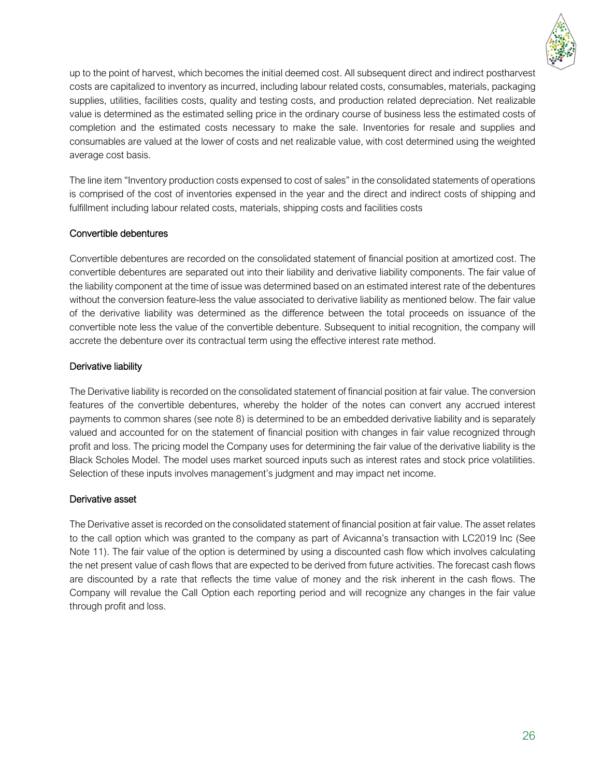

up to the point of harvest, which becomes the initial deemed cost. All subsequent direct and indirect postharvest costs are capitalized to inventory as incurred, including labour related costs, consumables, materials, packaging supplies, utilities, facilities costs, quality and testing costs, and production related depreciation. Net realizable value is determined as the estimated selling price in the ordinary course of business less the estimated costs of completion and the estimated costs necessary to make the sale. Inventories for resale and supplies and consumables are valued at the lower of costs and net realizable value, with cost determined using the weighted average cost basis.

The line item "Inventory production costs expensed to cost of sales" in the consolidated statements of operations is comprised of the cost of inventories expensed in the year and the direct and indirect costs of shipping and fulfillment including labour related costs, materials, shipping costs and facilities costs

#### Convertible debentures

Convertible debentures are recorded on the consolidated statement of financial position at amortized cost. The convertible debentures are separated out into their liability and derivative liability components. The fair value of the liability component at the time of issue was determined based on an estimated interest rate of the debentures without the conversion feature-less the value associated to derivative liability as mentioned below. The fair value of the derivative liability was determined as the difference between the total proceeds on issuance of the convertible note less the value of the convertible debenture. Subsequent to initial recognition, the company will accrete the debenture over its contractual term using the effective interest rate method.

#### Derivative liability

The Derivative liability is recorded on the consolidated statement of financial position at fair value. The conversion features of the convertible debentures, whereby the holder of the notes can convert any accrued interest payments to common shares (see note 8) is determined to be an embedded derivative liability and is separately valued and accounted for on the statement of financial position with changes in fair value recognized through profit and loss. The pricing model the Company uses for determining the fair value of the derivative liability is the Black Scholes Model. The model uses market sourced inputs such as interest rates and stock price volatilities. Selection of these inputs involves management's judgment and may impact net income.

#### Derivative asset

The Derivative asset is recorded on the consolidated statement of financial position at fair value. The asset relates to the call option which was granted to the company as part of Avicanna's transaction with LC2019 Inc (See Note 11). The fair value of the option is determined by using a discounted cash flow which involves calculating the net present value of cash flows that are expected to be derived from future activities. The forecast cash flows are discounted by a rate that reflects the time value of money and the risk inherent in the cash flows. The Company will revalue the Call Option each reporting period and will recognize any changes in the fair value through profit and loss.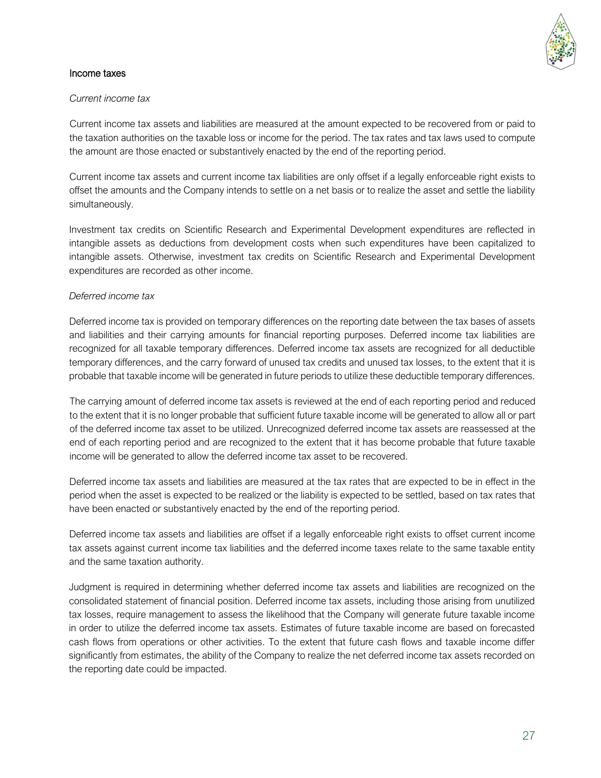

#### Income taxes

#### *Current income tax*

Current income tax assets and liabilities are measured at the amount expected to be recovered from or paid to the taxation authorities on the taxable loss or income for the period. The tax rates and tax laws used to compute the amount are those enacted or substantively enacted by the end of the reporting period.

Current income tax assets and current income tax liabilities are only offset if a legally enforceable right exists to offset the amounts and the Company intends to settle on a net basis or to realize the asset and settle the liability simultaneously.

Investment tax credits on Scientific Research and Experimental Development expenditures are reflected in intangible assets as deductions from development costs when such expenditures have been capitalized to intangible assets. Otherwise, investment tax credits on Scientific Research and Experimental Development expenditures are recorded as other income.

#### *Deferred income tax*

Deferred income tax is provided on temporary differences on the reporting date between the tax bases of assets and liabilities and their carrying amounts for financial reporting purposes. Deferred income tax liabilities are recognized for all taxable temporary differences. Deferred income tax assets are recognized for all deductible temporary differences, and the carry forward of unused tax credits and unused tax losses, to the extent that it is probable that taxable income will be generated in future periods to utilize these deductible temporary differences.

The carrying amount of deferred income tax assets is reviewed at the end of each reporting period and reduced to the extent that it is no longer probable that sufficient future taxable income will be generated to allow all or part of the deferred income tax asset to be utilized. Unrecognized deferred income tax assets are reassessed at the end of each reporting period and are recognized to the extent that it has become probable that future taxable income will be generated to allow the deferred income tax asset to be recovered.

Deferred income tax assets and liabilities are measured at the tax rates that are expected to be in effect in the period when the asset is expected to be realized or the liability is expected to be settled, based on tax rates that have been enacted or substantively enacted by the end of the reporting period.

Deferred income tax assets and liabilities are offset if a legally enforceable right exists to offset current income tax assets against current income tax liabilities and the deferred income taxes relate to the same taxable entity and the same taxation authority.

Judgment is required in determining whether deferred income tax assets and liabilities are recognized on the consolidated statement of financial position. Deferred income tax assets, including those arising from unutilized tax losses, require management to assess the likelihood that the Company will generate future taxable income in order to utilize the deferred income tax assets. Estimates of future taxable income are based on forecasted cash flows from operations or other activities. To the extent that future cash flows and taxable income differ significantly from estimates, the ability of the Company to realize the net deferred income tax assets recorded on the reporting date could be impacted.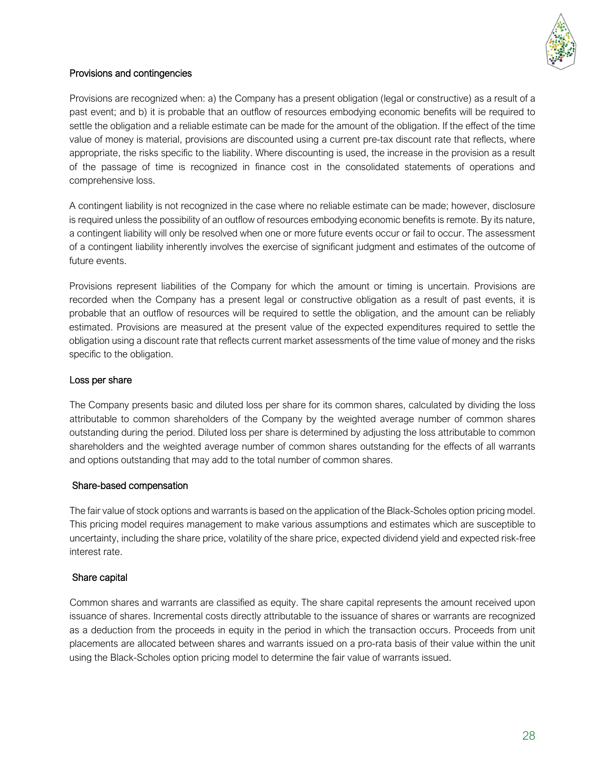

# Provisions and contingencies

Provisions are recognized when: a) the Company has a present obligation (legal or constructive) as a result of a past event; and b) it is probable that an outflow of resources embodying economic benefits will be required to settle the obligation and a reliable estimate can be made for the amount of the obligation. If the effect of the time value of money is material, provisions are discounted using a current pre-tax discount rate that reflects, where appropriate, the risks specific to the liability. Where discounting is used, the increase in the provision as a result of the passage of time is recognized in finance cost in the consolidated statements of operations and comprehensive loss.

A contingent liability is not recognized in the case where no reliable estimate can be made; however, disclosure is required unless the possibility of an outflow of resources embodying economic benefits is remote. By its nature, a contingent liability will only be resolved when one or more future events occur or fail to occur. The assessment of a contingent liability inherently involves the exercise of significant judgment and estimates of the outcome of future events.

Provisions represent liabilities of the Company for which the amount or timing is uncertain. Provisions are recorded when the Company has a present legal or constructive obligation as a result of past events, it is probable that an outflow of resources will be required to settle the obligation, and the amount can be reliably estimated. Provisions are measured at the present value of the expected expenditures required to settle the obligation using a discount rate that reflects current market assessments of the time value of money and the risks specific to the obligation.

# Loss per share

The Company presents basic and diluted loss per share for its common shares, calculated by dividing the loss attributable to common shareholders of the Company by the weighted average number of common shares outstanding during the period. Diluted loss per share is determined by adjusting the loss attributable to common shareholders and the weighted average number of common shares outstanding for the effects of all warrants and options outstanding that may add to the total number of common shares.

# Share-based compensation

The fair value of stock options and warrants is based on the application of the Black-Scholes option pricing model. This pricing model requires management to make various assumptions and estimates which are susceptible to uncertainty, including the share price, volatility of the share price, expected dividend yield and expected risk-free interest rate.

# Share capital

Common shares and warrants are classified as equity. The share capital represents the amount received upon issuance of shares. Incremental costs directly attributable to the issuance of shares or warrants are recognized as a deduction from the proceeds in equity in the period in which the transaction occurs. Proceeds from unit placements are allocated between shares and warrants issued on a pro-rata basis of their value within the unit using the Black-Scholes option pricing model to determine the fair value of warrants issued.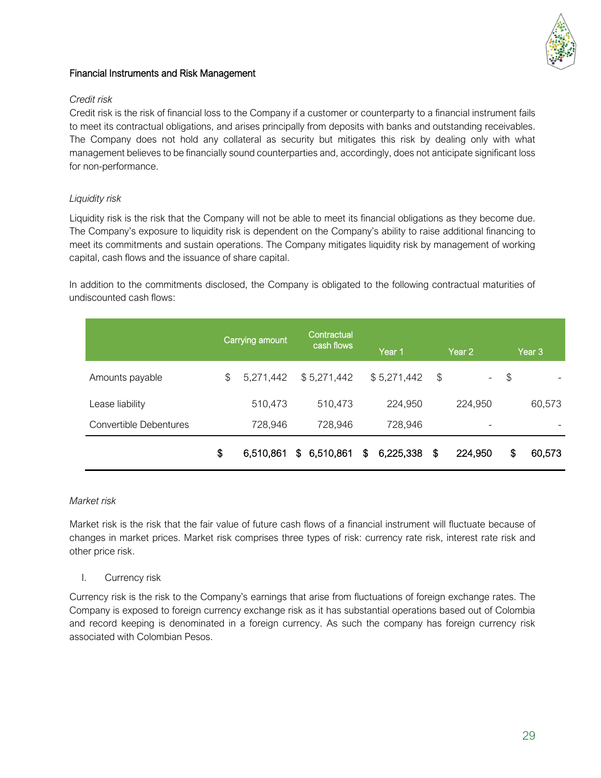

# Financial Instruments and Risk Management

#### *Credit risk*

Credit risk is the risk of financial loss to the Company if a customer or counterparty to a financial instrument fails to meet its contractual obligations, and arises principally from deposits with banks and outstanding receivables. The Company does not hold any collateral as security but mitigates this risk by dealing only with what management believes to be financially sound counterparties and, accordingly, does not anticipate significant loss for non-performance.

#### *Liquidity risk*

Liquidity risk is the risk that the Company will not be able to meet its financial obligations as they become due. The Company's exposure to liquidity risk is dependent on the Company's ability to raise additional financing to meet its commitments and sustain operations. The Company mitigates liquidity risk by management of working capital, cash flows and the issuance of share capital.

In addition to the commitments disclosed, the Company is obligated to the following contractual maturities of undiscounted cash flows:

|                               | Carrying amount |           | Contractual<br>cash flows | Year 1          | Year <sub>2</sub> |                          | Year <sub>3</sub> |        |
|-------------------------------|-----------------|-----------|---------------------------|-----------------|-------------------|--------------------------|-------------------|--------|
| Amounts payable               | \$              | 5,271,442 | \$5,271,442               | \$5,271,442     | \$                | ۰                        | $\frac{1}{2}$     |        |
| Lease liability               |                 | 510,473   | 510,473                   | 224,950         |                   | 224,950                  |                   | 60,573 |
| <b>Convertible Debentures</b> |                 | 728,946   | 728,946                   | 728,946         |                   | $\overline{\phantom{a}}$ |                   |        |
|                               | \$              | 6,510,861 | \$<br>6,510,861           | \$<br>6,225,338 | \$                | 224,950                  | \$                | 60,573 |

#### *Market risk*

Market risk is the risk that the fair value of future cash flows of a financial instrument will fluctuate because of changes in market prices. Market risk comprises three types of risk: currency rate risk, interest rate risk and other price risk.

#### I. Currency risk

Currency risk is the risk to the Company's earnings that arise from fluctuations of foreign exchange rates. The Company is exposed to foreign currency exchange risk as it has substantial operations based out of Colombia and record keeping is denominated in a foreign currency. As such the company has foreign currency risk associated with Colombian Pesos.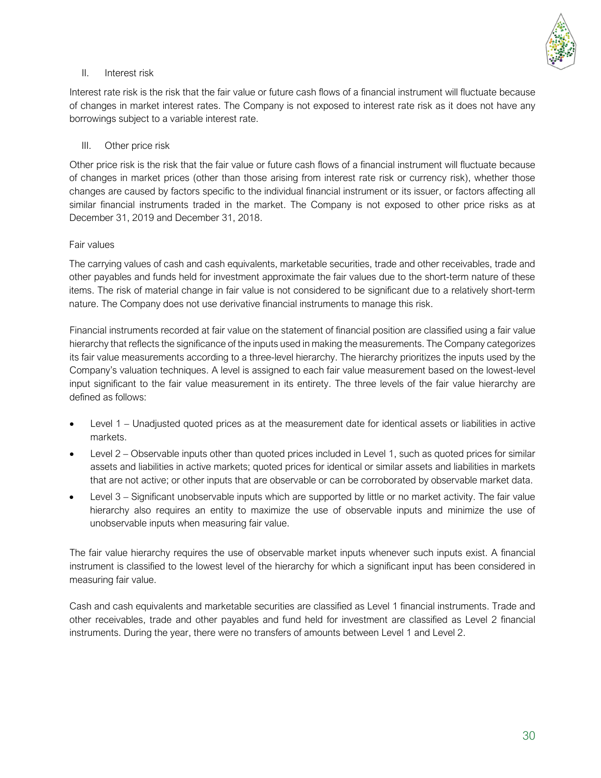

II. Interest risk

Interest rate risk is the risk that the fair value or future cash flows of a financial instrument will fluctuate because of changes in market interest rates. The Company is not exposed to interest rate risk as it does not have any borrowings subject to a variable interest rate.

III. Other price risk

Other price risk is the risk that the fair value or future cash flows of a financial instrument will fluctuate because of changes in market prices (other than those arising from interest rate risk or currency risk), whether those changes are caused by factors specific to the individual financial instrument or its issuer, or factors affecting all similar financial instruments traded in the market. The Company is not exposed to other price risks as at December 31, 2019 and December 31, 2018.

# Fair values

The carrying values of cash and cash equivalents, marketable securities, trade and other receivables, trade and other payables and funds held for investment approximate the fair values due to the short-term nature of these items. The risk of material change in fair value is not considered to be significant due to a relatively short-term nature. The Company does not use derivative financial instruments to manage this risk.

Financial instruments recorded at fair value on the statement of financial position are classified using a fair value hierarchy that reflects the significance of the inputs used in making the measurements. The Company categorizes its fair value measurements according to a three-level hierarchy. The hierarchy prioritizes the inputs used by the Company's valuation techniques. A level is assigned to each fair value measurement based on the lowest-level input significant to the fair value measurement in its entirety. The three levels of the fair value hierarchy are defined as follows:

- Level 1 Unadjusted quoted prices as at the measurement date for identical assets or liabilities in active markets.
- Level 2 Observable inputs other than quoted prices included in Level 1, such as quoted prices for similar assets and liabilities in active markets; quoted prices for identical or similar assets and liabilities in markets that are not active; or other inputs that are observable or can be corroborated by observable market data.
- Level 3 Significant unobservable inputs which are supported by little or no market activity. The fair value hierarchy also requires an entity to maximize the use of observable inputs and minimize the use of unobservable inputs when measuring fair value.

The fair value hierarchy requires the use of observable market inputs whenever such inputs exist. A financial instrument is classified to the lowest level of the hierarchy for which a significant input has been considered in measuring fair value.

Cash and cash equivalents and marketable securities are classified as Level 1 financial instruments. Trade and other receivables, trade and other payables and fund held for investment are classified as Level 2 financial instruments. During the year, there were no transfers of amounts between Level 1 and Level 2.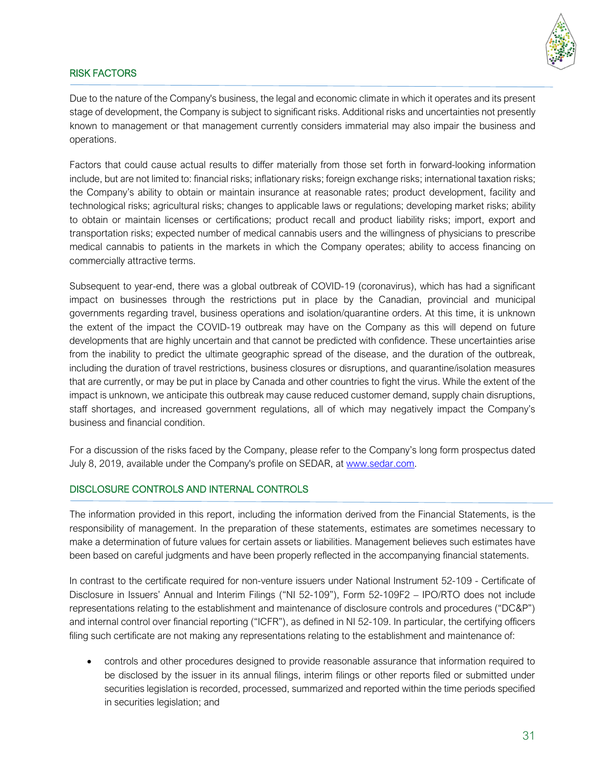

# RISK FACTORS

Due to the nature of the Company's business, the legal and economic climate in which it operates and its present stage of development, the Company is subject to significant risks. Additional risks and uncertainties not presently known to management or that management currently considers immaterial may also impair the business and operations.

Factors that could cause actual results to differ materially from those set forth in forward-looking information include, but are not limited to: financial risks; inflationary risks; foreign exchange risks; international taxation risks; the Company's ability to obtain or maintain insurance at reasonable rates; product development, facility and technological risks; agricultural risks; changes to applicable laws or regulations; developing market risks; ability to obtain or maintain licenses or certifications; product recall and product liability risks; import, export and transportation risks; expected number of medical cannabis users and the willingness of physicians to prescribe medical cannabis to patients in the markets in which the Company operates; ability to access financing on commercially attractive terms.

Subsequent to year-end, there was a global outbreak of COVID-19 (coronavirus), which has had a significant impact on businesses through the restrictions put in place by the Canadian, provincial and municipal governments regarding travel, business operations and isolation/quarantine orders. At this time, it is unknown the extent of the impact the COVID-19 outbreak may have on the Company as this will depend on future developments that are highly uncertain and that cannot be predicted with confidence. These uncertainties arise from the inability to predict the ultimate geographic spread of the disease, and the duration of the outbreak, including the duration of travel restrictions, business closures or disruptions, and quarantine/isolation measures that are currently, or may be put in place by Canada and other countries to fight the virus. While the extent of the impact is unknown, we anticipate this outbreak may cause reduced customer demand, supply chain disruptions, staff shortages, and increased government regulations, all of which may negatively impact the Company's business and financial condition.

For a discussion of the risks faced by the Company, please refer to the Company's long form prospectus dated July 8, 2019, available under the Company's profile on SEDAR, at [www.sedar.com.](http://www.sedar.com/)

#### DISCLOSURE CONTROLS AND INTERNAL CONTROLS

The information provided in this report, including the information derived from the Financial Statements, is the responsibility of management. In the preparation of these statements, estimates are sometimes necessary to make a determination of future values for certain assets or liabilities. Management believes such estimates have been based on careful judgments and have been properly reflected in the accompanying financial statements.

In contrast to the certificate required for non-venture issuers under National Instrument 52-109 - Certificate of Disclosure in Issuers' Annual and Interim Filings ("NI 52-109"), Form 52-109F2 – IPO/RTO does not include representations relating to the establishment and maintenance of disclosure controls and procedures ("DC&P") and internal control over financial reporting ("ICFR"), as defined in NI 52-109. In particular, the certifying officers filing such certificate are not making any representations relating to the establishment and maintenance of:

• controls and other procedures designed to provide reasonable assurance that information required to be disclosed by the issuer in its annual filings, interim filings or other reports filed or submitted under securities legislation is recorded, processed, summarized and reported within the time periods specified in securities legislation; and